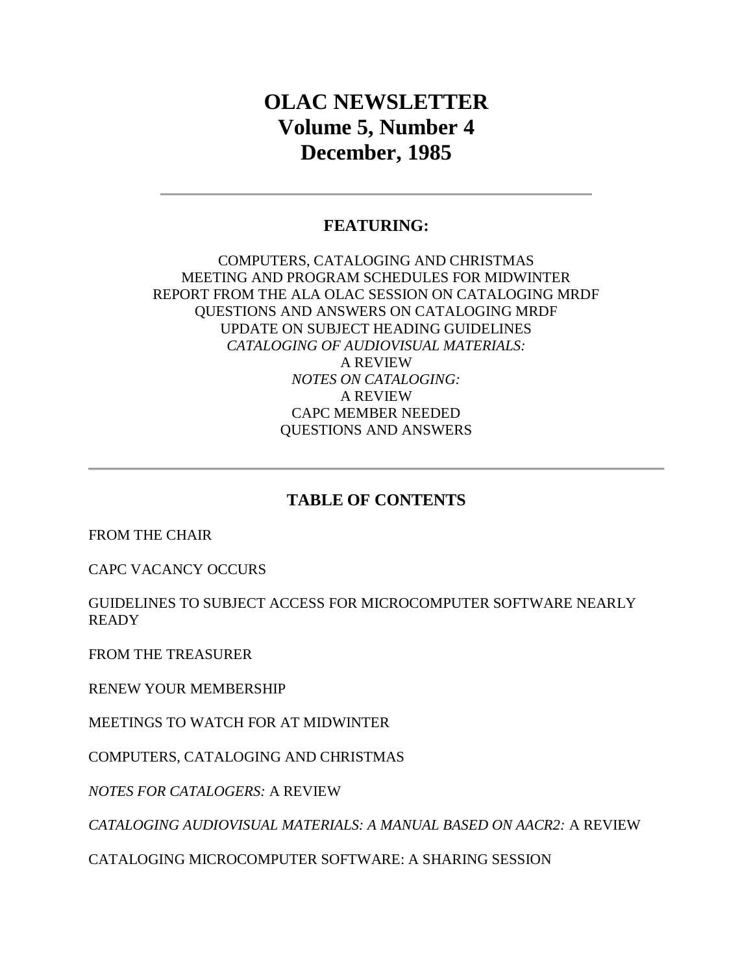# **OLAC NEWSLETTER Volume 5, Number 4 December, 1985**

# **FEATURING:**

### COMPUTERS, CATALOGING AND CHRISTMAS MEETING AND PROGRAM SCHEDULES FOR MIDWINTER REPORT FROM THE ALA OLAC SESSION ON CATALOGING MRDF QUESTIONS AND ANSWERS ON CATALOGING MRDF UPDATE ON SUBJECT HEADING GUIDELINES *CATALOGING OF AUDIOVISUAL MATERIALS:* A REVIEW *NOTES ON CATALOGING:* A REVIEW CAPC MEMBER NEEDED QUESTIONS AND ANSWERS

### **TABLE OF CONTENTS**

[FROM THE CHAIR](http://ublib.buffalo.edu/libraries/units/cts/olac/newsletters/dec85.html#chair)

[CAPC VACANCY OCCURS](http://ublib.buffalo.edu/libraries/units/cts/olac/newsletters/dec85.html#capc)

[GUIDELINES TO SUBJECT ACCESS FOR MICROCOMPUTER SOFTWARE NEARLY](http://ublib.buffalo.edu/libraries/units/cts/olac/newsletters/dec85.html#guidelines)  [READY](http://ublib.buffalo.edu/libraries/units/cts/olac/newsletters/dec85.html#guidelines)

[FROM THE TREASURER](http://ublib.buffalo.edu/libraries/units/cts/olac/newsletters/dec85.html#treasurer)

[RENEW YOUR MEMBERSHIP](http://ublib.buffalo.edu/libraries/units/cts/olac/newsletters/dec85.html#renew)

[MEETINGS TO WATCH FOR AT MIDWINTER](http://ublib.buffalo.edu/libraries/units/cts/olac/newsletters/dec85.html#meetings)

[COMPUTERS, CATALOGING AND CHRISTMAS](http://ublib.buffalo.edu/libraries/units/cts/olac/newsletters/dec85.html#computer)

*[NOTES FOR CATALOGERS:](http://ublib.buffalo.edu/libraries/units/cts/olac/newsletters/dec85.html#notes)* A REVIEW

*[CATALOGING AUDIOVISUAL MATERIALS: A MANUAL BASED ON AACR2:](http://ublib.buffalo.edu/libraries/units/cts/olac/newsletters/dec85.html#av)* A REVIEW

[CATALOGING MICROCOMPUTER SOFTWARE: A SHARING SESSION](http://ublib.buffalo.edu/libraries/units/cts/olac/newsletters/dec85.html#micro)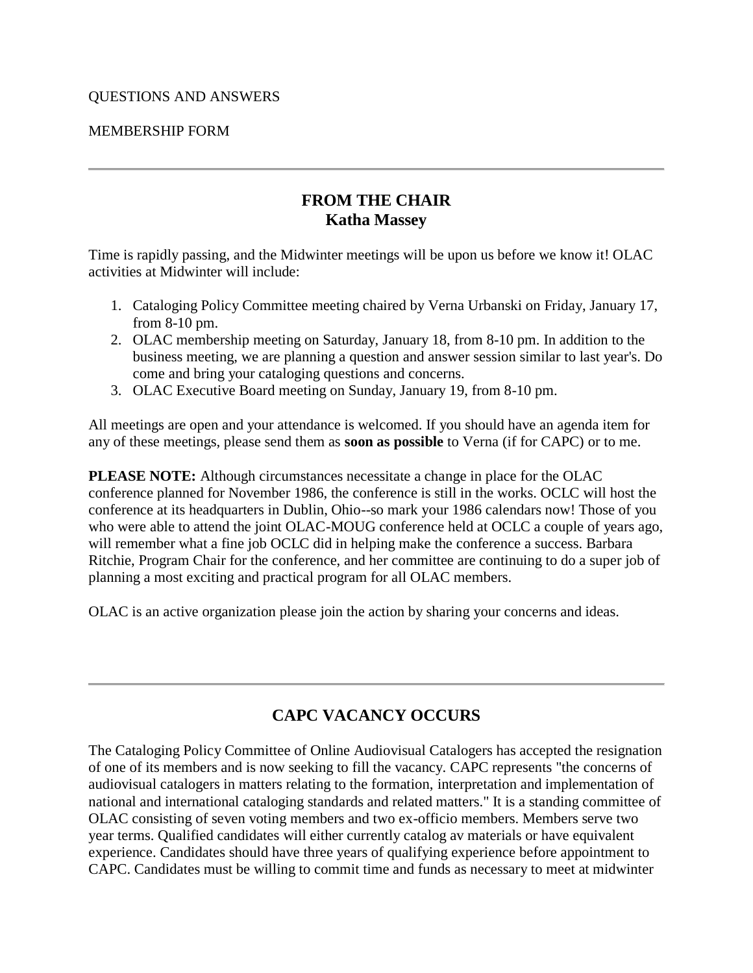### [MEMBERSHIP FORM](http://ublib.buffalo.edu/libraries/units/cts/olac/newsletters/dec85.html#form)

# **FROM THE CHAIR Katha Massey**

Time is rapidly passing, and the Midwinter meetings will be upon us before we know it! OLAC activities at Midwinter will include:

- 1. Cataloging Policy Committee meeting chaired by Verna Urbanski on Friday, January 17, from 8-10 pm.
- 2. OLAC membership meeting on Saturday, January 18, from 8-10 pm. In addition to the business meeting, we are planning a question and answer session similar to last year's. Do come and bring your cataloging questions and concerns.
- 3. OLAC Executive Board meeting on Sunday, January 19, from 8-10 pm.

All meetings are open and your attendance is welcomed. If you should have an agenda item for any of these meetings, please send them as **soon as possible** to Verna (if for CAPC) or to me.

**PLEASE NOTE:** Although circumstances necessitate a change in place for the OLAC conference planned for November 1986, the conference is still in the works. OCLC will host the conference at its headquarters in Dublin, Ohio--so mark your 1986 calendars now! Those of you who were able to attend the joint OLAC-MOUG conference held at OCLC a couple of years ago, will remember what a fine job OCLC did in helping make the conference a success. Barbara Ritchie, Program Chair for the conference, and her committee are continuing to do a super job of planning a most exciting and practical program for all OLAC members.

OLAC is an active organization please join the action by sharing your concerns and ideas.

# **CAPC VACANCY OCCURS**

The Cataloging Policy Committee of Online Audiovisual Catalogers has accepted the resignation of one of its members and is now seeking to fill the vacancy. CAPC represents "the concerns of audiovisual catalogers in matters relating to the formation, interpretation and implementation of national and international cataloging standards and related matters." It is a standing committee of OLAC consisting of seven voting members and two ex-officio members. Members serve two year terms. Qualified candidates will either currently catalog av materials or have equivalent experience. Candidates should have three years of qualifying experience before appointment to CAPC. Candidates must be willing to commit time and funds as necessary to meet at midwinter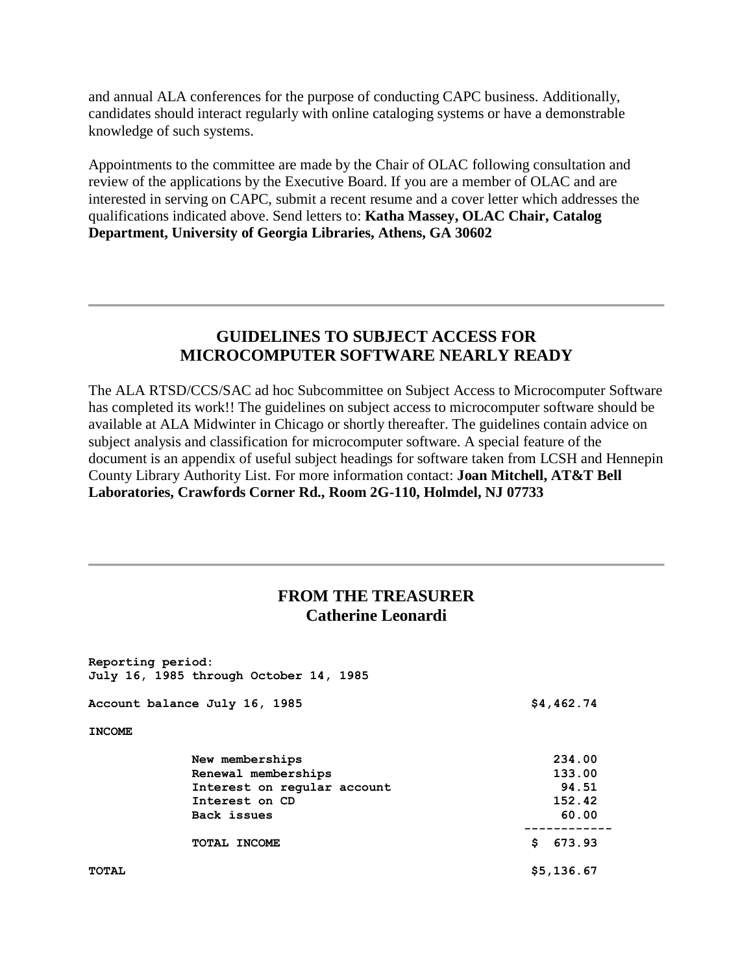and annual ALA conferences for the purpose of conducting CAPC business. Additionally, candidates should interact regularly with online cataloging systems or have a demonstrable knowledge of such systems.

Appointments to the committee are made by the Chair of OLAC following consultation and review of the applications by the Executive Board. If you are a member of OLAC and are interested in serving on CAPC, submit a recent resume and a cover letter which addresses the qualifications indicated above. Send letters to: **Katha Massey, OLAC Chair, Catalog Department, University of Georgia Libraries, Athens, GA 30602**

### **GUIDELINES TO SUBJECT ACCESS FOR MICROCOMPUTER SOFTWARE NEARLY READY**

The ALA RTSD/CCS/SAC ad hoc Subcommittee on Subject Access to Microcomputer Software has completed its work!! The guidelines on subject access to microcomputer software should be available at ALA Midwinter in Chicago or shortly thereafter. The guidelines contain advice on subject analysis and classification for microcomputer software. A special feature of the document is an appendix of useful subject headings for software taken from LCSH and Hennepin County Library Authority List. For more information contact: **Joan Mitchell, AT&T Bell Laboratories, Crawfords Corner Rd., Room 2G-110, Holmdel, NJ 07733**

# **FROM THE TREASURER Catherine Leonardi**

| Reporting period:             | July 16, 1985 through October 14, 1985 |              |
|-------------------------------|----------------------------------------|--------------|
| Account balance July 16, 1985 |                                        | \$4,462.74   |
| <b>INCOME</b>                 |                                        |              |
|                               | New memberships                        | 234.00       |
|                               | Renewal memberships                    | 133.00       |
|                               | Interest on regular account            | 94.51        |
|                               | Interest on CD                         | 152.42       |
|                               | Back issues                            | 60.00        |
|                               | TOTAL INCOME                           | S.<br>673.93 |
| <b>TOTAL</b>                  |                                        | \$5,136.67   |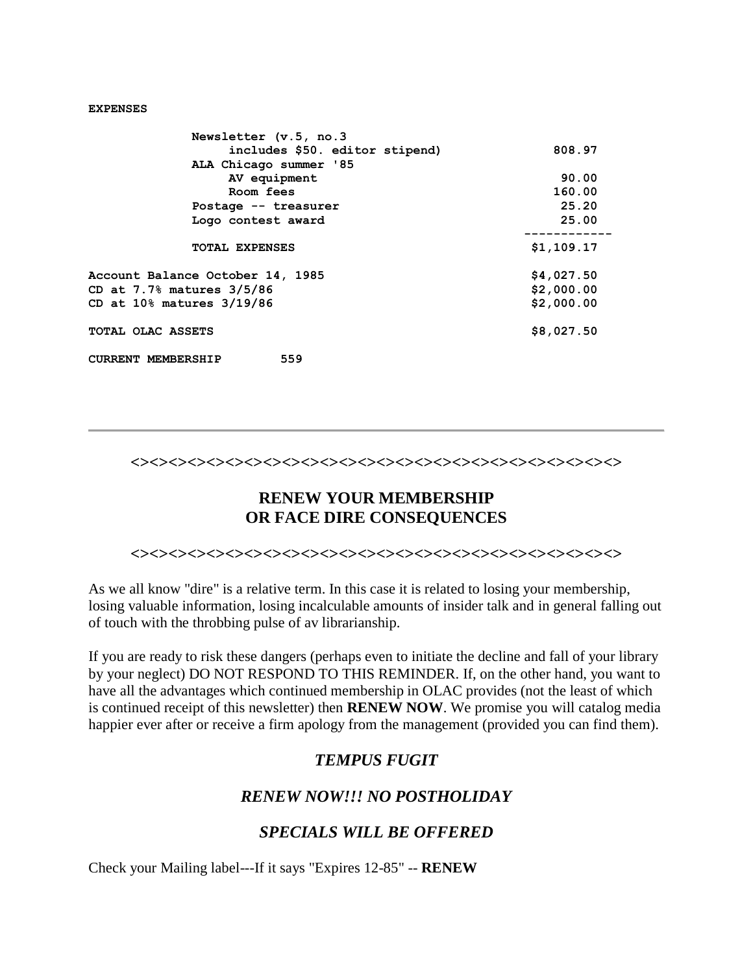#### **EXPENSES**

| Newsletter (v.5, no.3            |            |
|----------------------------------|------------|
| includes \$50. editor stipend)   | 808.97     |
| ALA Chicago summer '85           |            |
| AV equipment                     | 90.00      |
| Room fees                        | 160.00     |
| Postage -- treasurer             | 25.20      |
| Logo contest award               | 25.00      |
| TOTAL EXPENSES                   | \$1,109.17 |
| Account Balance October 14, 1985 | \$4,027.50 |
| CD at 7.7% matures 3/5/86        | \$2,000.00 |
| CD at 10% matures 3/19/86        | \$2,000.00 |
| TOTAL OLAC ASSETS                | \$8,027.50 |
| 559<br><b>CURRENT MEMBERSHIP</b> |            |

#### **<><><><><><><><><><><><><><><><><><><><><><><><><><>**

# **RENEW YOUR MEMBERSHIP OR FACE DIRE CONSEQUENCES**

**<><><><><><><><><><><><><><><><><><><><><><><><><><>**

As we all know "dire" is a relative term. In this case it is related to losing your membership, losing valuable information, losing incalculable amounts of insider talk and in general falling out of touch with the throbbing pulse of av librarianship.

If you are ready to risk these dangers (perhaps even to initiate the decline and fall of your library by your neglect) DO NOT RESPOND TO THIS REMINDER. If, on the other hand, you want to have all the advantages which continued membership in OLAC provides (not the least of which is continued receipt of this newsletter) then **RENEW NOW**. We promise you will catalog media happier ever after or receive a firm apology from the management (provided you can find them).

### *TEMPUS FUGIT*

### *RENEW NOW!!! NO POSTHOLIDAY*

### *SPECIALS WILL BE OFFERED*

Check your Mailing label---If it says "Expires 12-85" -- **RENEW**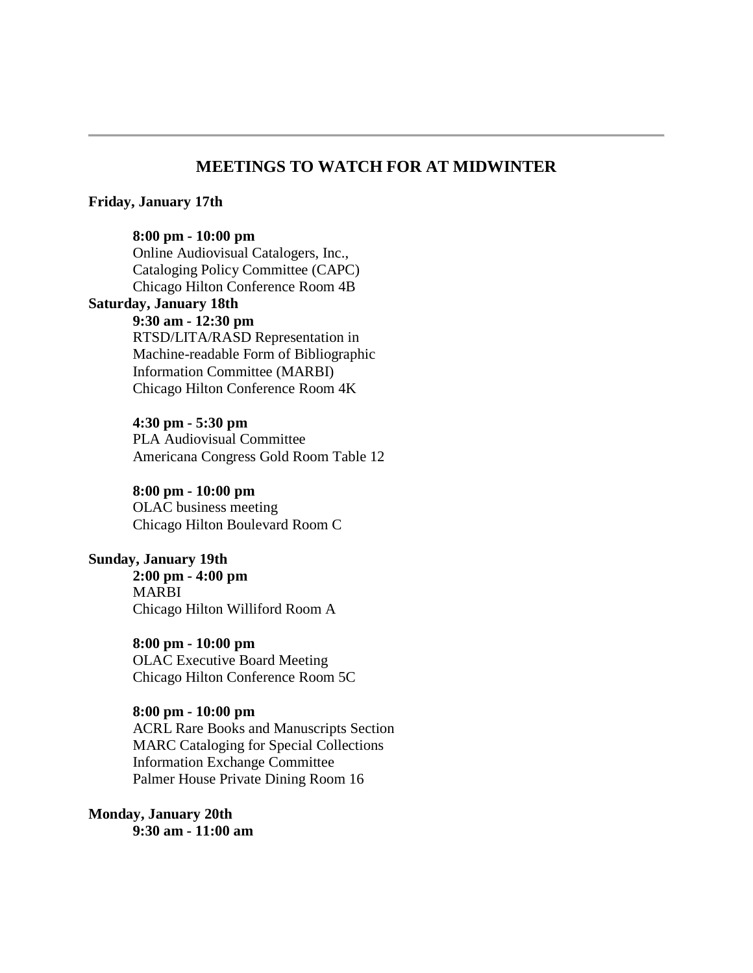### **MEETINGS TO WATCH FOR AT MIDWINTER**

#### **Friday, January 17th**

#### **8:00 pm - 10:00 pm**

Online Audiovisual Catalogers, Inc., Cataloging Policy Committee (CAPC) Chicago Hilton Conference Room 4B **Saturday, January 18th 9:30 am - 12:30 pm** RTSD/LITA/RASD Representation in Machine-readable Form of Bibliographic Information Committee (MARBI) Chicago Hilton Conference Room 4K

> **4:30 pm - 5:30 pm** PLA Audiovisual Committee Americana Congress Gold Room Table 12

**8:00 pm - 10:00 pm**  OLAC business meeting Chicago Hilton Boulevard Room C

#### **Sunday, January 19th**

**2:00 pm - 4:00 pm** MARBI Chicago Hilton Williford Room A

**8:00 pm - 10:00 pm** OLAC Executive Board Meeting Chicago Hilton Conference Room 5C

**8:00 pm - 10:00 pm** ACRL Rare Books and Manuscripts Section MARC Cataloging for Special Collections Information Exchange Committee Palmer House Private Dining Room 16

**Monday, January 20th 9:30 am - 11:00 am**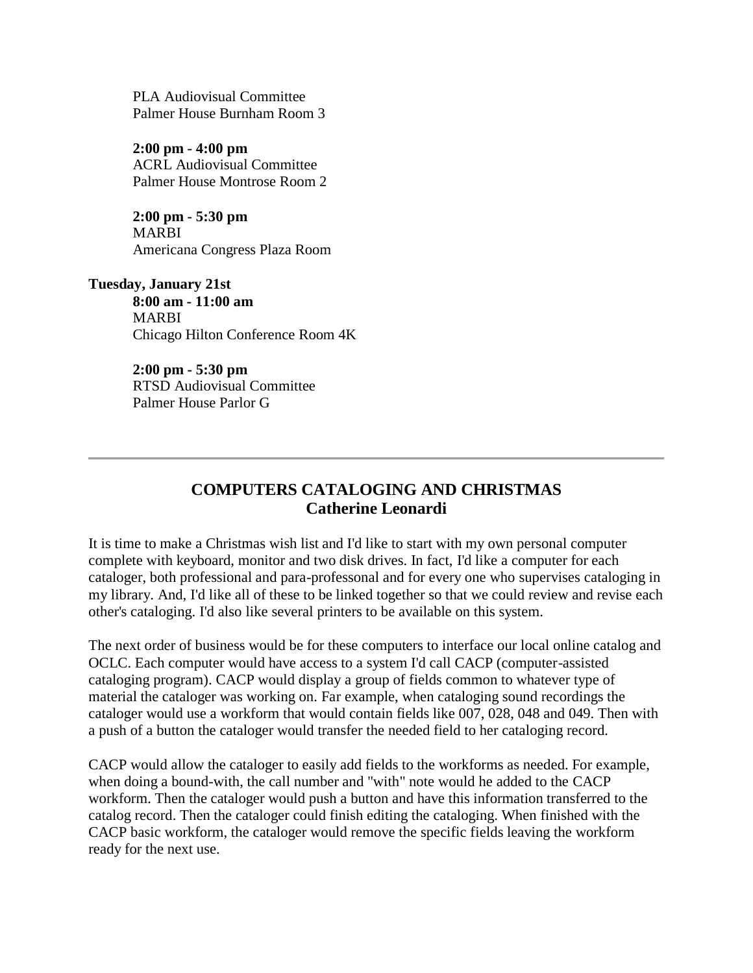PLA Audiovisual Committee Palmer House Burnham Room 3

**2:00 pm - 4:00 pm** ACRL Audiovisual Committee Palmer House Montrose Room 2

**2:00 pm - 5:30 pm** MARBI Americana Congress Plaza Room

**Tuesday, January 21st 8:00 am - 11:00 am** MARBI Chicago Hilton Conference Room 4K

> **2:00 pm - 5:30 pm** RTSD Audiovisual Committee Palmer House Parlor G

# **COMPUTERS CATALOGING AND CHRISTMAS Catherine Leonardi**

It is time to make a Christmas wish list and I'd like to start with my own personal computer complete with keyboard, monitor and two disk drives. In fact, I'd like a computer for each cataloger, both professional and para-professonal and for every one who supervises cataloging in my library. And, I'd like all of these to be linked together so that we could review and revise each other's cataloging. I'd also like several printers to be available on this system.

The next order of business would be for these computers to interface our local online catalog and OCLC. Each computer would have access to a system I'd call CACP (computer-assisted cataloging program). CACP would display a group of fields common to whatever type of material the cataloger was working on. Far example, when cataloging sound recordings the cataloger would use a workform that would contain fields like 007, 028, 048 and 049. Then with a push of a button the cataloger would transfer the needed field to her cataloging record.

CACP would allow the cataloger to easily add fields to the workforms as needed. For example, when doing a bound-with, the call number and "with" note would he added to the CACP workform. Then the cataloger would push a button and have this information transferred to the catalog record. Then the cataloger could finish editing the cataloging. When finished with the CACP basic workform, the cataloger would remove the specific fields leaving the workform ready for the next use.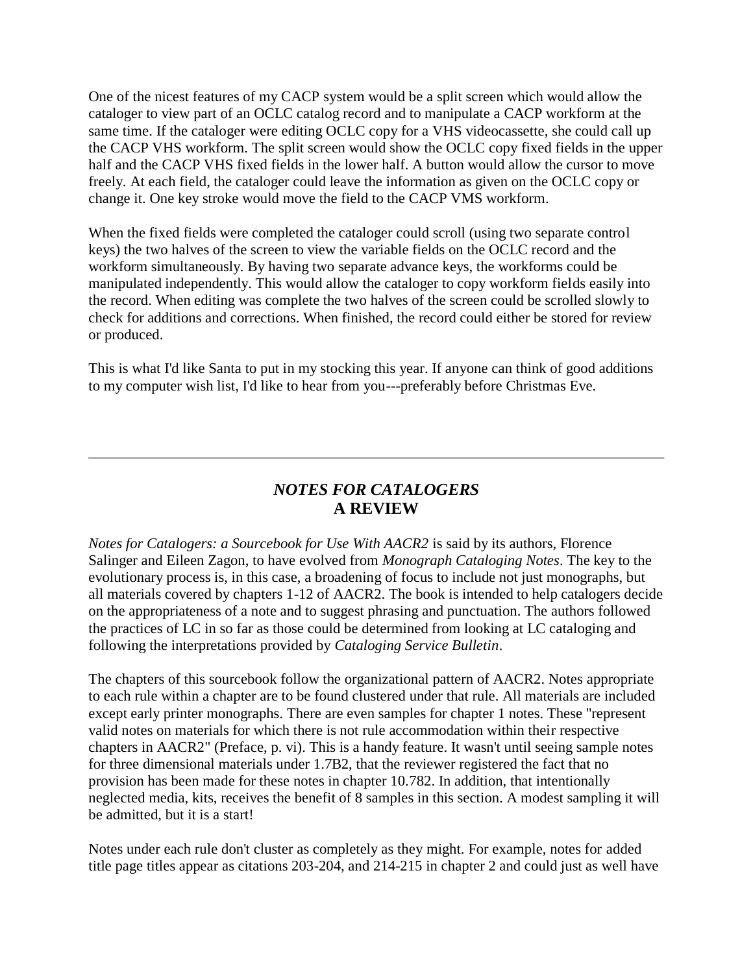One of the nicest features of my CACP system would be a split screen which would allow the cataloger to view part of an OCLC catalog record and to manipulate a CACP workform at the same time. If the cataloger were editing OCLC copy for a VHS videocassette, she could call up the CACP VHS workform. The split screen would show the OCLC copy fixed fields in the upper half and the CACP VHS fixed fields in the lower half. A button would allow the cursor to move freely. At each field, the cataloger could leave the information as given on the OCLC copy or change it. One key stroke would move the field to the CACP VMS workform.

When the fixed fields were completed the cataloger could scroll (using two separate control keys) the two halves of the screen to view the variable fields on the OCLC record and the workform simultaneously. By having two separate advance keys, the workforms could be manipulated independently. This would allow the cataloger to copy workform fields easily into the record. When editing was complete the two halves of the screen could be scrolled slowly to check for additions and corrections. When finished, the record could either be stored for review or produced.

This is what I'd like Santa to put in my stocking this year. If anyone can think of good additions to my computer wish list, I'd like to hear from you---preferably before Christmas Eve.

# *NOTES FOR CATALOGERS* **A REVIEW**

*Notes for Catalogers: a Sourcebook for Use With AACR2* is said by its authors, Florence Salinger and Eileen Zagon, to have evolved from *Monograph Cataloging Notes*. The key to the evolutionary process is, in this case, a broadening of focus to include not just monographs, but all materials covered by chapters 1-12 of AACR2. The book is intended to help catalogers decide on the appropriateness of a note and to suggest phrasing and punctuation. The authors followed the practices of LC in so far as those could be determined from looking at LC cataloging and following the interpretations provided by *Cataloging Service Bulletin*.

The chapters of this sourcebook follow the organizational pattern of AACR2. Notes appropriate to each rule within a chapter are to be found clustered under that rule. All materials are included except early printer monographs. There are even samples for chapter 1 notes. These "represent valid notes on materials for which there is not rule accommodation within their respective chapters in AACR2" (Preface, p. vi). This is a handy feature. It wasn't until seeing sample notes for three dimensional materials under 1.7B2, that the reviewer registered the fact that no provision has been made for these notes in chapter 10.782. In addition, that intentionally neglected media, kits, receives the benefit of 8 samples in this section. A modest sampling it will be admitted, but it is a start!

Notes under each rule don't cluster as completely as they might. For example, notes for added title page titles appear as citations 203-204, and 214-215 in chapter 2 and could just as well have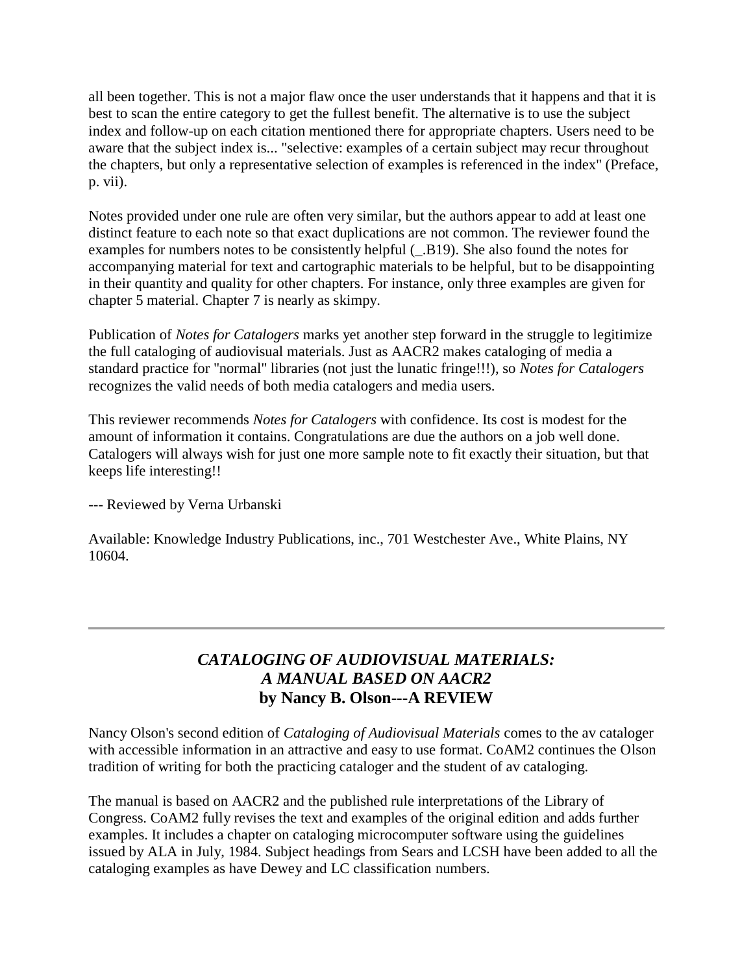all been together. This is not a major flaw once the user understands that it happens and that it is best to scan the entire category to get the fullest benefit. The alternative is to use the subject index and follow-up on each citation mentioned there for appropriate chapters. Users need to be aware that the subject index is... "selective: examples of a certain subject may recur throughout the chapters, but only a representative selection of examples is referenced in the index" (Preface, p. vii).

Notes provided under one rule are often very similar, but the authors appear to add at least one distinct feature to each note so that exact duplications are not common. The reviewer found the examples for numbers notes to be consistently helpful (\_.B19). She also found the notes for accompanying material for text and cartographic materials to be helpful, but to be disappointing in their quantity and quality for other chapters. For instance, only three examples are given for chapter 5 material. Chapter 7 is nearly as skimpy.

Publication of *Notes for Catalogers* marks yet another step forward in the struggle to legitimize the full cataloging of audiovisual materials. Just as AACR2 makes cataloging of media a standard practice for "normal" libraries (not just the lunatic fringe!!!), so *Notes for Catalogers* recognizes the valid needs of both media catalogers and media users.

This reviewer recommends *Notes for Catalogers* with confidence. Its cost is modest for the amount of information it contains. Congratulations are due the authors on a job well done. Catalogers will always wish for just one more sample note to fit exactly their situation, but that keeps life interesting!!

--- Reviewed by Verna Urbanski

Available: Knowledge Industry Publications, inc., 701 Westchester Ave., White Plains, NY 10604.

# *CATALOGING OF AUDIOVISUAL MATERIALS: A MANUAL BASED ON AACR2* **by Nancy B. Olson---A REVIEW**

Nancy Olson's second edition of *Cataloging of Audiovisual Materials* comes to the av cataloger with accessible information in an attractive and easy to use format. CoAM2 continues the Olson tradition of writing for both the practicing cataloger and the student of av cataloging.

The manual is based on AACR2 and the published rule interpretations of the Library of Congress. CoAM2 fully revises the text and examples of the original edition and adds further examples. It includes a chapter on cataloging microcomputer software using the guidelines issued by ALA in July, 1984. Subject headings from Sears and LCSH have been added to all the cataloging examples as have Dewey and LC classification numbers.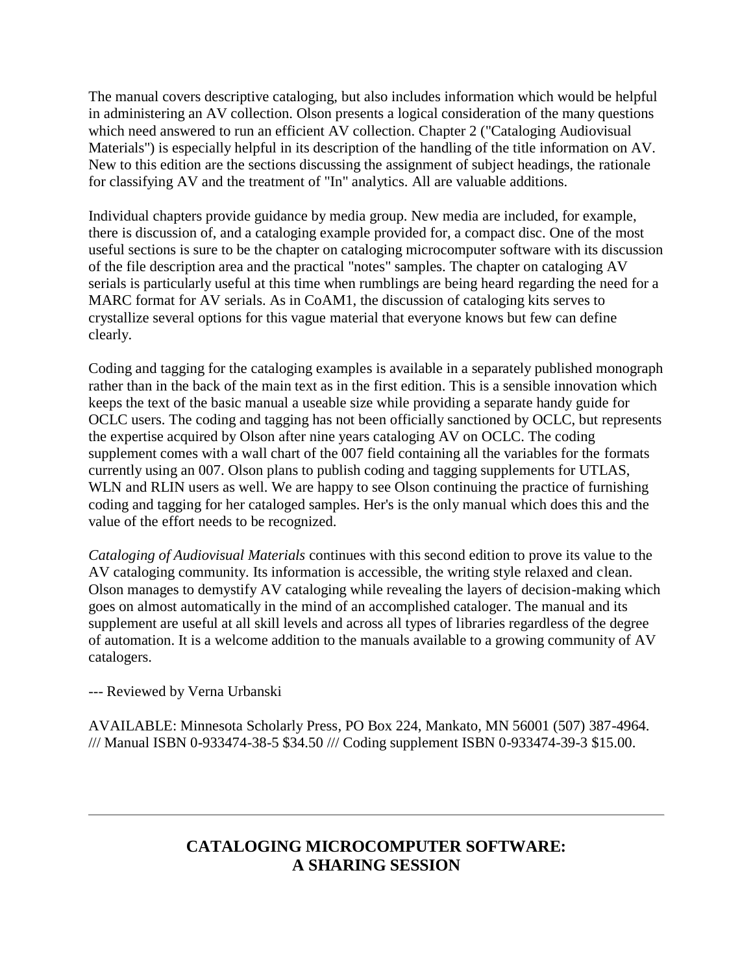The manual covers descriptive cataloging, but also includes information which would be helpful in administering an AV collection. Olson presents a logical consideration of the many questions which need answered to run an efficient AV collection. Chapter 2 ("Cataloging Audiovisual Materials") is especially helpful in its description of the handling of the title information on AV. New to this edition are the sections discussing the assignment of subject headings, the rationale for classifying AV and the treatment of "In" analytics. All are valuable additions.

Individual chapters provide guidance by media group. New media are included, for example, there is discussion of, and a cataloging example provided for, a compact disc. One of the most useful sections is sure to be the chapter on cataloging microcomputer software with its discussion of the file description area and the practical "notes" samples. The chapter on cataloging AV serials is particularly useful at this time when rumblings are being heard regarding the need for a MARC format for AV serials. As in CoAM1, the discussion of cataloging kits serves to crystallize several options for this vague material that everyone knows but few can define clearly.

Coding and tagging for the cataloging examples is available in a separately published monograph rather than in the back of the main text as in the first edition. This is a sensible innovation which keeps the text of the basic manual a useable size while providing a separate handy guide for OCLC users. The coding and tagging has not been officially sanctioned by OCLC, but represents the expertise acquired by Olson after nine years cataloging AV on OCLC. The coding supplement comes with a wall chart of the 007 field containing all the variables for the formats currently using an 007. Olson plans to publish coding and tagging supplements for UTLAS, WLN and RLIN users as well. We are happy to see Olson continuing the practice of furnishing coding and tagging for her cataloged samples. Her's is the only manual which does this and the value of the effort needs to be recognized.

*Cataloging of Audiovisual Materials* continues with this second edition to prove its value to the AV cataloging community. Its information is accessible, the writing style relaxed and clean. Olson manages to demystify AV cataloging while revealing the layers of decision-making which goes on almost automatically in the mind of an accomplished cataloger. The manual and its supplement are useful at all skill levels and across all types of libraries regardless of the degree of automation. It is a welcome addition to the manuals available to a growing community of AV catalogers.

--- Reviewed by Verna Urbanski

AVAILABLE: Minnesota Scholarly Press, PO Box 224, Mankato, MN 56001 (507) 387-4964. /// Manual ISBN 0-933474-38-5 \$34.50 /// Coding supplement ISBN 0-933474-39-3 \$15.00.

# **CATALOGING MICROCOMPUTER SOFTWARE: A SHARING SESSION**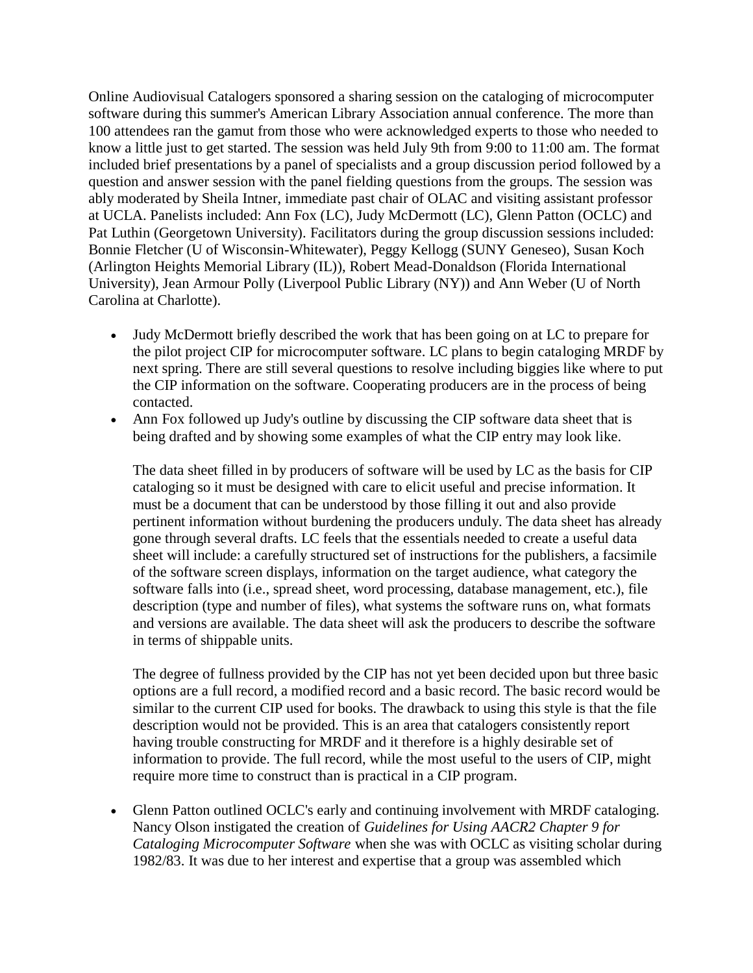Online Audiovisual Catalogers sponsored a sharing session on the cataloging of microcomputer software during this summer's American Library Association annual conference. The more than 100 attendees ran the gamut from those who were acknowledged experts to those who needed to know a little just to get started. The session was held July 9th from 9:00 to 11:00 am. The format included brief presentations by a panel of specialists and a group discussion period followed by a question and answer session with the panel fielding questions from the groups. The session was ably moderated by Sheila Intner, immediate past chair of OLAC and visiting assistant professor at UCLA. Panelists included: Ann Fox (LC), Judy McDermott (LC), Glenn Patton (OCLC) and Pat Luthin (Georgetown University). Facilitators during the group discussion sessions included: Bonnie Fletcher (U of Wisconsin-Whitewater), Peggy Kellogg (SUNY Geneseo), Susan Koch (Arlington Heights Memorial Library (IL)), Robert Mead-Donaldson (Florida International University), Jean Armour Polly (Liverpool Public Library (NY)) and Ann Weber (U of North Carolina at Charlotte).

- Judy McDermott briefly described the work that has been going on at LC to prepare for the pilot project CIP for microcomputer software. LC plans to begin cataloging MRDF by next spring. There are still several questions to resolve including biggies like where to put the CIP information on the software. Cooperating producers are in the process of being contacted.
- Ann Fox followed up Judy's outline by discussing the CIP software data sheet that is being drafted and by showing some examples of what the CIP entry may look like.

The data sheet filled in by producers of software will be used by LC as the basis for CIP cataloging so it must be designed with care to elicit useful and precise information. It must be a document that can be understood by those filling it out and also provide pertinent information without burdening the producers unduly. The data sheet has already gone through several drafts. LC feels that the essentials needed to create a useful data sheet will include: a carefully structured set of instructions for the publishers, a facsimile of the software screen displays, information on the target audience, what category the software falls into (i.e., spread sheet, word processing, database management, etc.), file description (type and number of files), what systems the software runs on, what formats and versions are available. The data sheet will ask the producers to describe the software in terms of shippable units.

The degree of fullness provided by the CIP has not yet been decided upon but three basic options are a full record, a modified record and a basic record. The basic record would be similar to the current CIP used for books. The drawback to using this style is that the file description would not be provided. This is an area that catalogers consistently report having trouble constructing for MRDF and it therefore is a highly desirable set of information to provide. The full record, while the most useful to the users of CIP, might require more time to construct than is practical in a CIP program.

 Glenn Patton outlined OCLC's early and continuing involvement with MRDF cataloging. Nancy Olson instigated the creation of *Guidelines for Using AACR2 Chapter 9 for Cataloging Microcomputer Software* when she was with OCLC as visiting scholar during 1982/83. It was due to her interest and expertise that a group was assembled which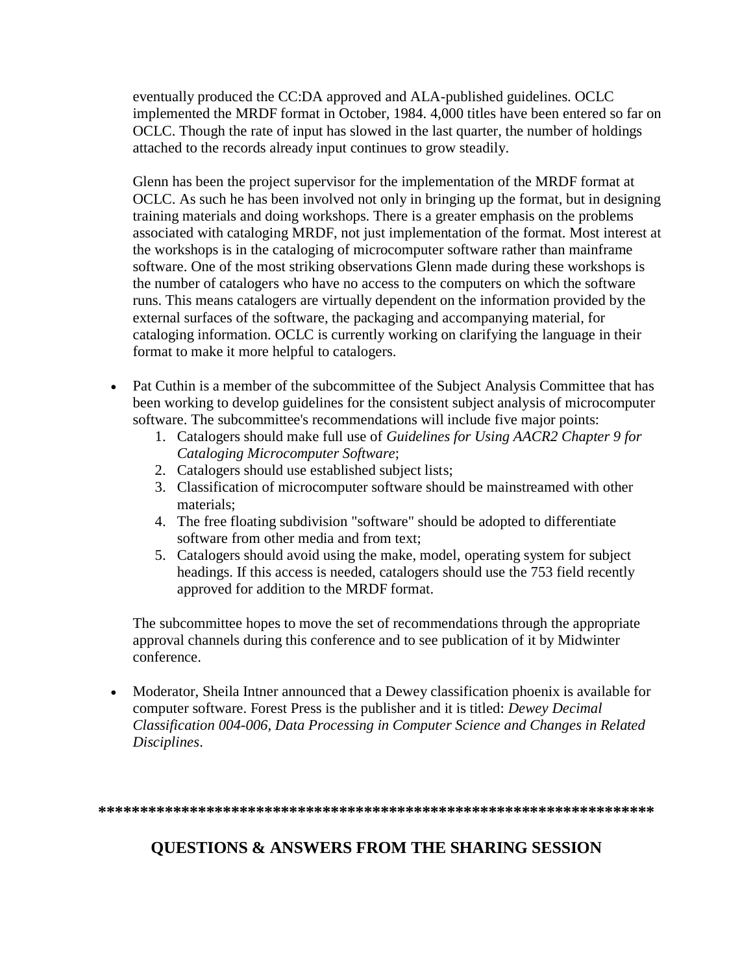eventually produced the CC:DA approved and ALA-published guidelines. OCLC implemented the MRDF format in October, 1984. 4,000 titles have been entered so far on OCLC. Though the rate of input has slowed in the last quarter, the number of holdings attached to the records already input continues to grow steadily.

Glenn has been the project supervisor for the implementation of the MRDF format at OCLC. As such he has been involved not only in bringing up the format, but in designing training materials and doing workshops. There is a greater emphasis on the problems associated with cataloging MRDF, not just implementation of the format. Most interest at the workshops is in the cataloging of microcomputer software rather than mainframe software. One of the most striking observations Glenn made during these workshops is the number of catalogers who have no access to the computers on which the software runs. This means catalogers are virtually dependent on the information provided by the external surfaces of the software, the packaging and accompanying material, for cataloging information. OCLC is currently working on clarifying the language in their format to make it more helpful to catalogers.

- Pat Cuthin is a member of the subcommittee of the Subject Analysis Committee that has been working to develop guidelines for the consistent subject analysis of microcomputer software. The subcommittee's recommendations will include five major points:
	- 1. Catalogers should make full use of *Guidelines for Using AACR2 Chapter 9 for Cataloging Microcomputer Software*;
	- 2. Catalogers should use established subject lists;
	- 3. Classification of microcomputer software should be mainstreamed with other materials;
	- 4. The free floating subdivision "software" should be adopted to differentiate software from other media and from text;
	- 5. Catalogers should avoid using the make, model, operating system for subject headings. If this access is needed, catalogers should use the 753 field recently approved for addition to the MRDF format.

The subcommittee hopes to move the set of recommendations through the appropriate approval channels during this conference and to see publication of it by Midwinter conference.

 Moderator, Sheila Intner announced that a Dewey classification phoenix is available for computer software. Forest Press is the publisher and it is titled: *Dewey Decimal Classification 004-006, Data Processing in Computer Science and Changes in Related Disciplines*.

**\*\*\*\*\*\*\*\*\*\*\*\*\*\*\*\*\*\*\*\*\*\*\*\*\*\*\*\*\*\*\*\*\*\*\*\*\*\*\*\*\*\*\*\*\*\*\*\*\*\*\*\*\*\*\*\*\*\*\*\*\*\*\*\*\*\*\***

# **QUESTIONS & ANSWERS FROM THE SHARING SESSION**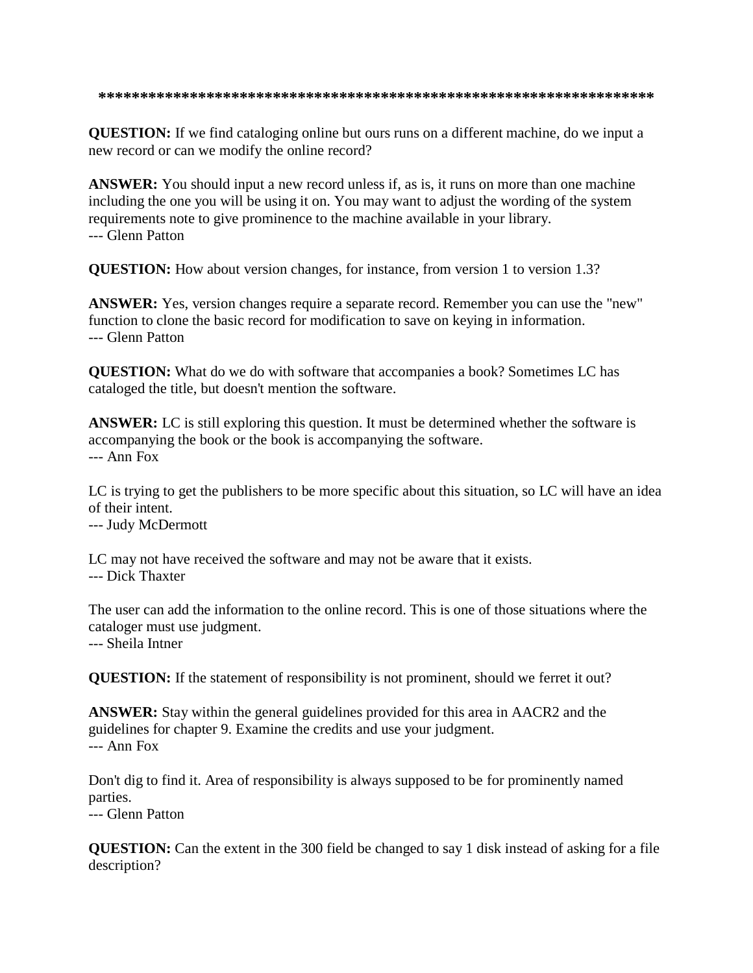**QUESTION:** If we find cataloging online but ours runs on a different machine, do we input a new record or can we modify the online record?

**ANSWER:** You should input a new record unless if, as is, it runs on more than one machine including the one you will be using it on. You may want to adjust the wording of the system requirements note to give prominence to the machine available in your library. --- Glenn Patton

**QUESTION:** How about version changes, for instance, from version 1 to version 1.3?

**ANSWER:** Yes, version changes require a separate record. Remember you can use the "new" function to clone the basic record for modification to save on keying in information. --- Glenn Patton

**QUESTION:** What do we do with software that accompanies a book? Sometimes LC has cataloged the title, but doesn't mention the software.

**ANSWER:** LC is still exploring this question. It must be determined whether the software is accompanying the book or the book is accompanying the software. --- Ann Fox

LC is trying to get the publishers to be more specific about this situation, so LC will have an idea of their intent.

--- Judy McDermott

LC may not have received the software and may not be aware that it exists.

--- Dick Thaxter

The user can add the information to the online record. This is one of those situations where the cataloger must use judgment.

--- Sheila Intner

**QUESTION:** If the statement of responsibility is not prominent, should we ferret it out?

**ANSWER:** Stay within the general guidelines provided for this area in AACR2 and the guidelines for chapter 9. Examine the credits and use your judgment. --- Ann Fox

Don't dig to find it. Area of responsibility is always supposed to be for prominently named parties.

--- Glenn Patton

**QUESTION:** Can the extent in the 300 field be changed to say 1 disk instead of asking for a file description?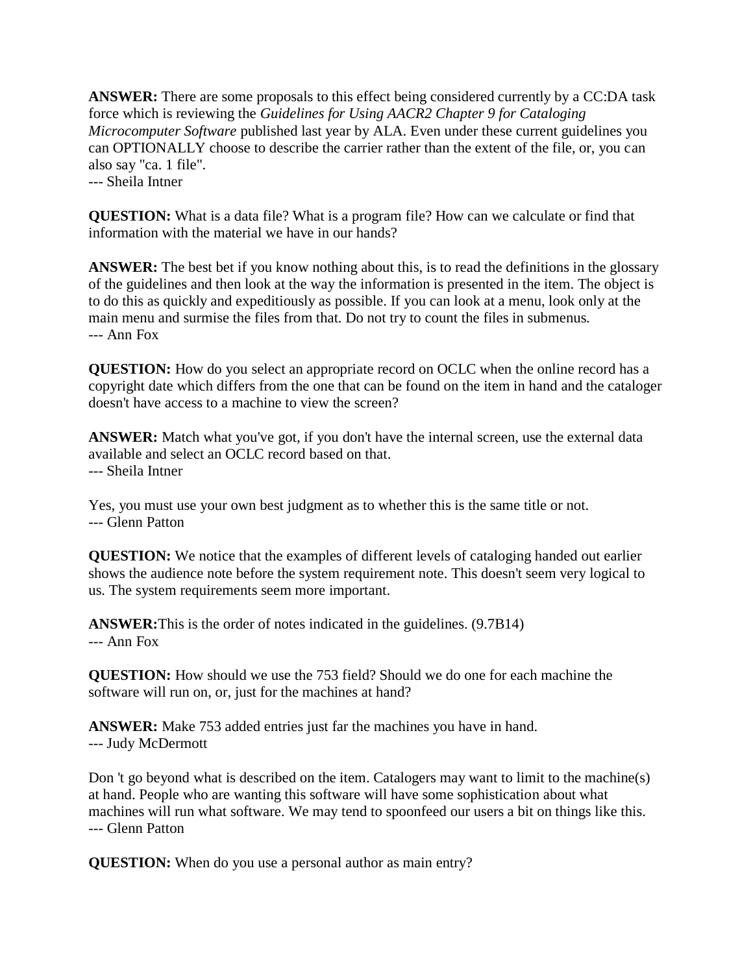**ANSWER:** There are some proposals to this effect being considered currently by a CC:DA task force which is reviewing the *Guidelines for Using AACR2 Chapter 9 for Cataloging Microcomputer Software* published last year by ALA. Even under these current guidelines you can OPTIONALLY choose to describe the carrier rather than the extent of the file, or, you can also say "ca. 1 file". --- Sheila Intner

**QUESTION:** What is a data file? What is a program file? How can we calculate or find that information with the material we have in our hands?

**ANSWER:** The best bet if you know nothing about this, is to read the definitions in the glossary of the guidelines and then look at the way the information is presented in the item. The object is to do this as quickly and expeditiously as possible. If you can look at a menu, look only at the main menu and surmise the files from that. Do not try to count the files in submenus. --- Ann Fox

**QUESTION:** How do you select an appropriate record on OCLC when the online record has a copyright date which differs from the one that can be found on the item in hand and the cataloger doesn't have access to a machine to view the screen?

**ANSWER:** Match what you've got, if you don't have the internal screen, use the external data available and select an OCLC record based on that. --- Sheila Intner

Yes, you must use your own best judgment as to whether this is the same title or not. --- Glenn Patton

**QUESTION:** We notice that the examples of different levels of cataloging handed out earlier shows the audience note before the system requirement note. This doesn't seem very logical to us. The system requirements seem more important.

**ANSWER:**This is the order of notes indicated in the guidelines. (9.7B14) --- Ann Fox

**QUESTION:** How should we use the 753 field? Should we do one for each machine the software will run on, or, just for the machines at hand?

**ANSWER:** Make 753 added entries just far the machines you have in hand. --- Judy McDermott

Don 't go beyond what is described on the item. Catalogers may want to limit to the machine(s) at hand. People who are wanting this software will have some sophistication about what machines will run what software. We may tend to spoonfeed our users a bit on things like this. --- Glenn Patton

**QUESTION:** When do you use a personal author as main entry?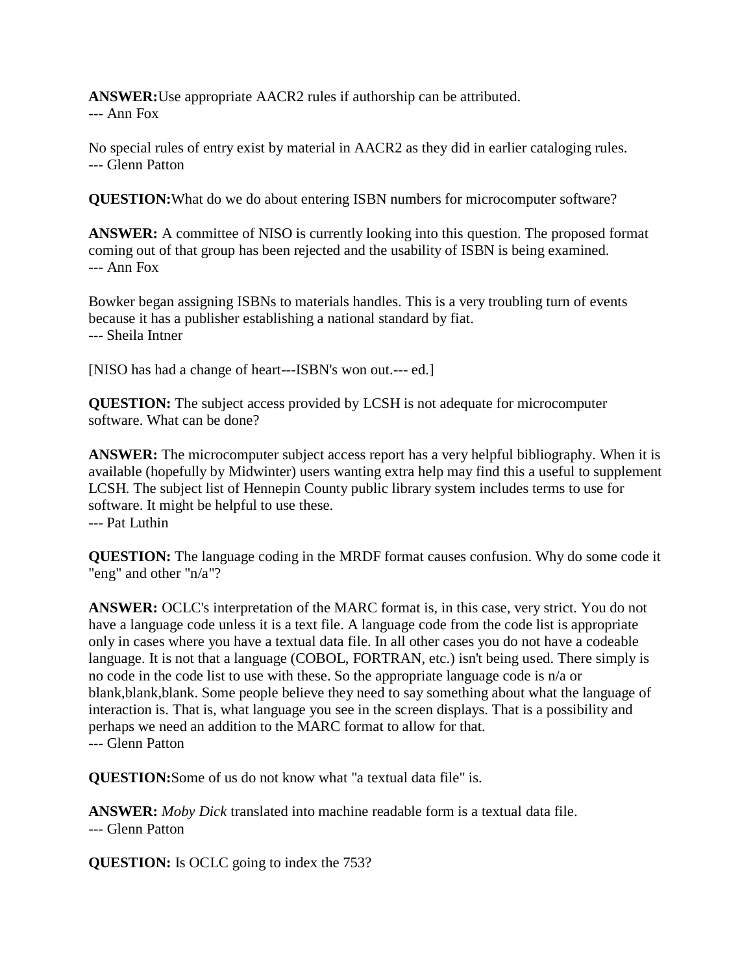**ANSWER:**Use appropriate AACR2 rules if authorship can be attributed. --- Ann Fox

No special rules of entry exist by material in AACR2 as they did in earlier cataloging rules. --- Glenn Patton

**QUESTION:**What do we do about entering ISBN numbers for microcomputer software?

**ANSWER:** A committee of NISO is currently looking into this question. The proposed format coming out of that group has been rejected and the usability of ISBN is being examined. --- Ann Fox

Bowker began assigning ISBNs to materials handles. This is a very troubling turn of events because it has a publisher establishing a national standard by fiat. --- Sheila Intner

[NISO has had a change of heart---ISBN's won out.--- ed.]

**QUESTION:** The subject access provided by LCSH is not adequate for microcomputer software. What can be done?

**ANSWER:** The microcomputer subject access report has a very helpful bibliography. When it is available (hopefully by Midwinter) users wanting extra help may find this a useful to supplement LCSH. The subject list of Hennepin County public library system includes terms to use for software. It might be helpful to use these. --- Pat Luthin

**QUESTION:** The language coding in the MRDF format causes confusion. Why do some code it "eng" and other "n/a"?

**ANSWER:** OCLC's interpretation of the MARC format is, in this case, very strict. You do not have a language code unless it is a text file. A language code from the code list is appropriate only in cases where you have a textual data file. In all other cases you do not have a codeable language. It is not that a language (COBOL, FORTRAN, etc.) isn't being used. There simply is no code in the code list to use with these. So the appropriate language code is n/a or blank,blank,blank. Some people believe they need to say something about what the language of interaction is. That is, what language you see in the screen displays. That is a possibility and perhaps we need an addition to the MARC format to allow for that. --- Glenn Patton

**QUESTION:**Some of us do not know what "a textual data file" is.

**ANSWER:** *Moby Dick* translated into machine readable form is a textual data file. --- Glenn Patton

**QUESTION:** Is OCLC going to index the 753?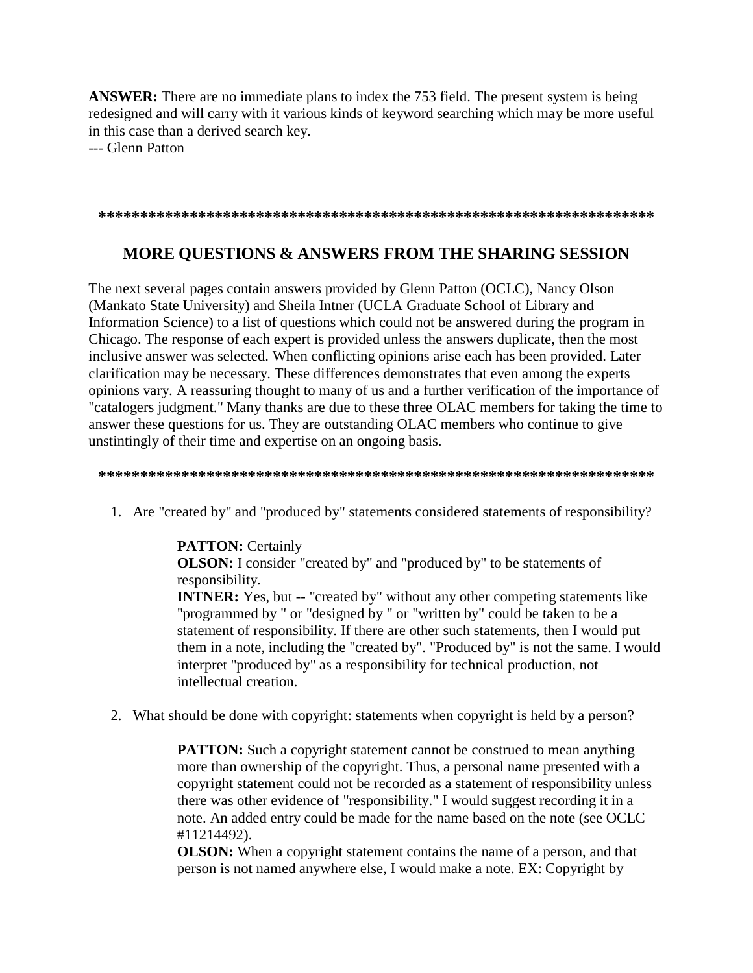**ANSWER:** There are no immediate plans to index the 753 field. The present system is being redesigned and will carry with it various kinds of keyword searching which may be more useful in this case than a derived search key.

--- Glenn Patton

**\*\*\*\*\*\*\*\*\*\*\*\*\*\*\*\*\*\*\*\*\*\*\*\*\*\*\*\*\*\*\*\*\*\*\*\*\*\*\*\*\*\*\*\*\*\*\*\*\*\*\*\*\*\*\*\*\*\*\*\*\*\*\*\*\*\*\***

### **MORE QUESTIONS & ANSWERS FROM THE SHARING SESSION**

The next several pages contain answers provided by Glenn Patton (OCLC), Nancy Olson (Mankato State University) and Sheila Intner (UCLA Graduate School of Library and Information Science) to a list of questions which could not be answered during the program in Chicago. The response of each expert is provided unless the answers duplicate, then the most inclusive answer was selected. When conflicting opinions arise each has been provided. Later clarification may be necessary. These differences demonstrates that even among the experts opinions vary. A reassuring thought to many of us and a further verification of the importance of "catalogers judgment." Many thanks are due to these three OLAC members for taking the time to answer these questions for us. They are outstanding OLAC members who continue to give unstintingly of their time and expertise on an ongoing basis.

**\*\*\*\*\*\*\*\*\*\*\*\*\*\*\*\*\*\*\*\*\*\*\*\*\*\*\*\*\*\*\*\*\*\*\*\*\*\*\*\*\*\*\*\*\*\*\*\*\*\*\*\*\*\*\*\*\*\*\*\*\*\*\*\*\*\*\***

1. Are "created by" and "produced by" statements considered statements of responsibility?

**PATTON:** Certainly **OLSON:** I consider "created by" and "produced by" to be statements of responsibility.

**INTNER:** Yes, but -- "created by" without any other competing statements like "programmed by " or "designed by " or "written by" could be taken to be a statement of responsibility. If there are other such statements, then I would put them in a note, including the "created by". "Produced by" is not the same. I would interpret "produced by" as a responsibility for technical production, not intellectual creation.

2. What should be done with copyright: statements when copyright is held by a person?

**PATTON:** Such a copyright statement cannot be construed to mean anything more than ownership of the copyright. Thus, a personal name presented with a copyright statement could not be recorded as a statement of responsibility unless there was other evidence of "responsibility." I would suggest recording it in a note. An added entry could be made for the name based on the note (see OCLC #11214492).

**OLSON:** When a copyright statement contains the name of a person, and that person is not named anywhere else, I would make a note. EX: Copyright by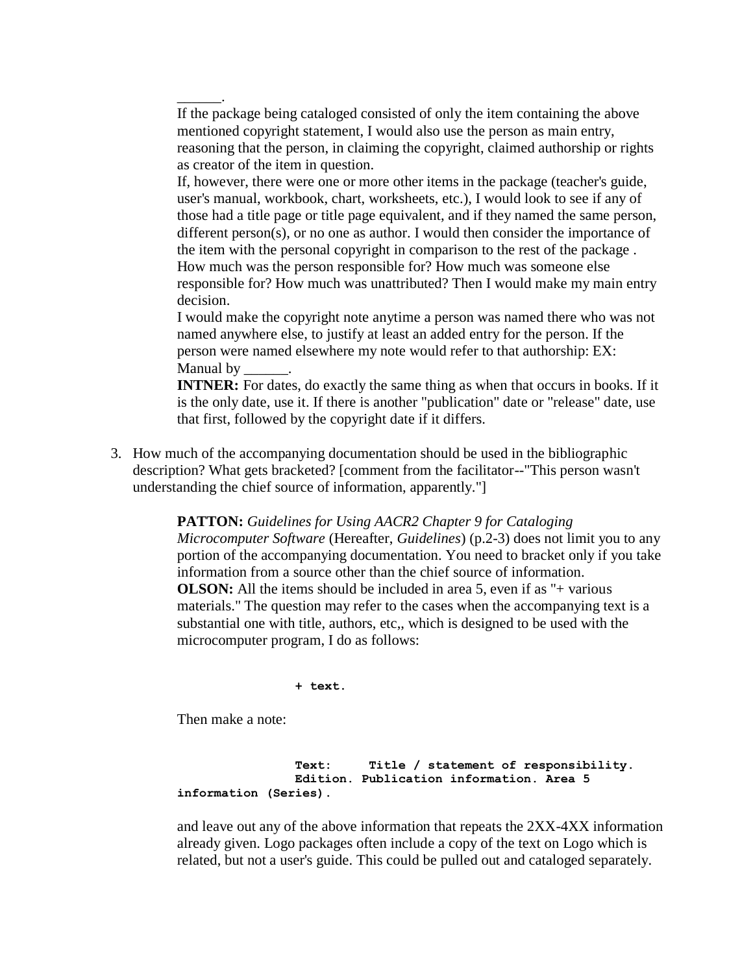If the package being cataloged consisted of only the item containing the above mentioned copyright statement, I would also use the person as main entry, reasoning that the person, in claiming the copyright, claimed authorship or rights as creator of the item in question.

If, however, there were one or more other items in the package (teacher's guide, user's manual, workbook, chart, worksheets, etc.), I would look to see if any of those had a title page or title page equivalent, and if they named the same person, different person(s), or no one as author. I would then consider the importance of the item with the personal copyright in comparison to the rest of the package . How much was the person responsible for? How much was someone else responsible for? How much was unattributed? Then I would make my main entry decision.

I would make the copyright note anytime a person was named there who was not named anywhere else, to justify at least an added entry for the person. If the person were named elsewhere my note would refer to that authorship: EX: Manual by

**INTNER:** For dates, do exactly the same thing as when that occurs in books. If it is the only date, use it. If there is another "publication" date or "release" date, use that first, followed by the copyright date if it differs.

3. How much of the accompanying documentation should be used in the bibliographic description? What gets bracketed? [comment from the facilitator--"This person wasn't understanding the chief source of information, apparently."]

> **PATTON:** *Guidelines for Using AACR2 Chapter 9 for Cataloging Microcomputer Software* (Hereafter, *Guidelines*) (p.2-3) does not limit you to any portion of the accompanying documentation. You need to bracket only if you take information from a source other than the chief source of information. **OLSON:** All the items should be included in area 5, even if as "+ various materials." The question may refer to the cases when the accompanying text is a substantial one with title, authors, etc,, which is designed to be used with the microcomputer program, I do as follows:

> > **+ text.**

Then make a note:

\_\_\_\_\_\_.

 **Text: Title / statement of responsibility. Edition. Publication information. Area 5 information (Series).**

and leave out any of the above information that repeats the 2XX-4XX information already given. Logo packages often include a copy of the text on Logo which is related, but not a user's guide. This could be pulled out and cataloged separately.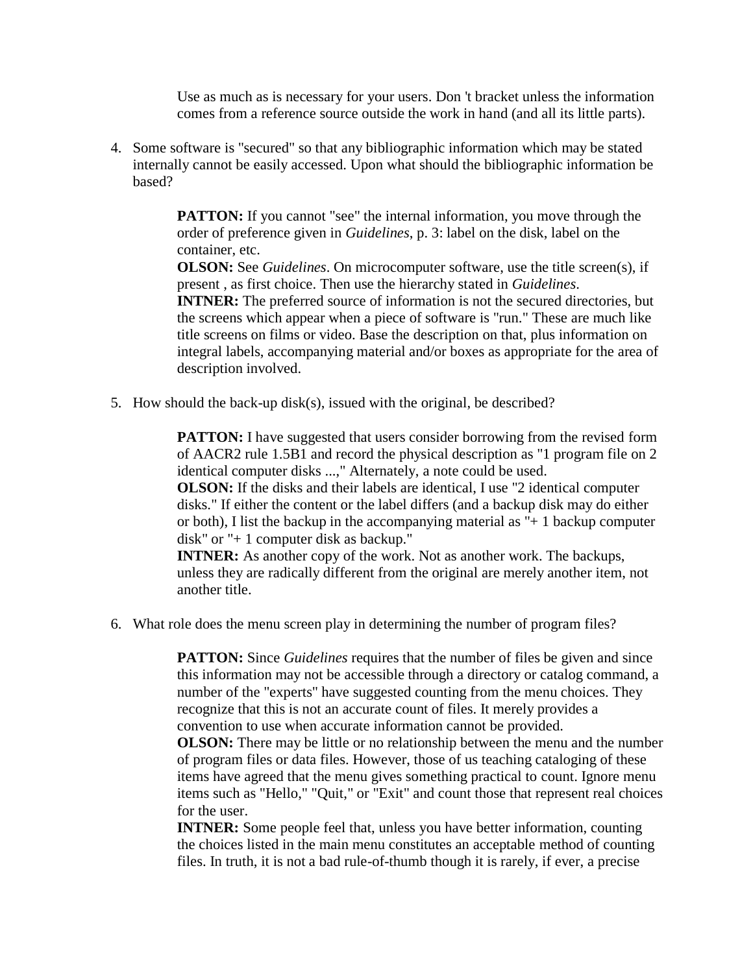Use as much as is necessary for your users. Don 't bracket unless the information comes from a reference source outside the work in hand (and all its little parts).

4. Some software is "secured" so that any bibliographic information which may be stated internally cannot be easily accessed. Upon what should the bibliographic information be based?

> **PATTON:** If you cannot "see" the internal information, you move through the order of preference given in *Guidelines*, p. 3: label on the disk, label on the container, etc.

**OLSON:** See *Guidelines*. On microcomputer software, use the title screen(s), if present , as first choice. Then use the hierarchy stated in *Guidelines*. **INTNER:** The preferred source of information is not the secured directories, but the screens which appear when a piece of software is "run." These are much like title screens on films or video. Base the description on that, plus information on integral labels, accompanying material and/or boxes as appropriate for the area of description involved.

5. How should the back-up disk(s), issued with the original, be described?

**PATTON:** I have suggested that users consider borrowing from the revised form of AACR2 rule 1.5B1 and record the physical description as "1 program file on 2 identical computer disks ...," Alternately, a note could be used.

**OLSON:** If the disks and their labels are identical, I use "2 identical computer disks." If either the content or the label differs (and a backup disk may do either or both), I list the backup in the accompanying material as " $+1$  backup computer disk" or "+ 1 computer disk as backup."

**INTNER:** As another copy of the work. Not as another work. The backups, unless they are radically different from the original are merely another item, not another title.

6. What role does the menu screen play in determining the number of program files?

**PATTON:** Since *Guidelines* requires that the number of files be given and since this information may not be accessible through a directory or catalog command, a number of the "experts" have suggested counting from the menu choices. They recognize that this is not an accurate count of files. It merely provides a convention to use when accurate information cannot be provided.

**OLSON:** There may be little or no relationship between the menu and the number of program files or data files. However, those of us teaching cataloging of these items have agreed that the menu gives something practical to count. Ignore menu items such as "Hello," "Quit," or "Exit" and count those that represent real choices for the user.

**INTNER:** Some people feel that, unless you have better information, counting the choices listed in the main menu constitutes an acceptable method of counting files. In truth, it is not a bad rule-of-thumb though it is rarely, if ever, a precise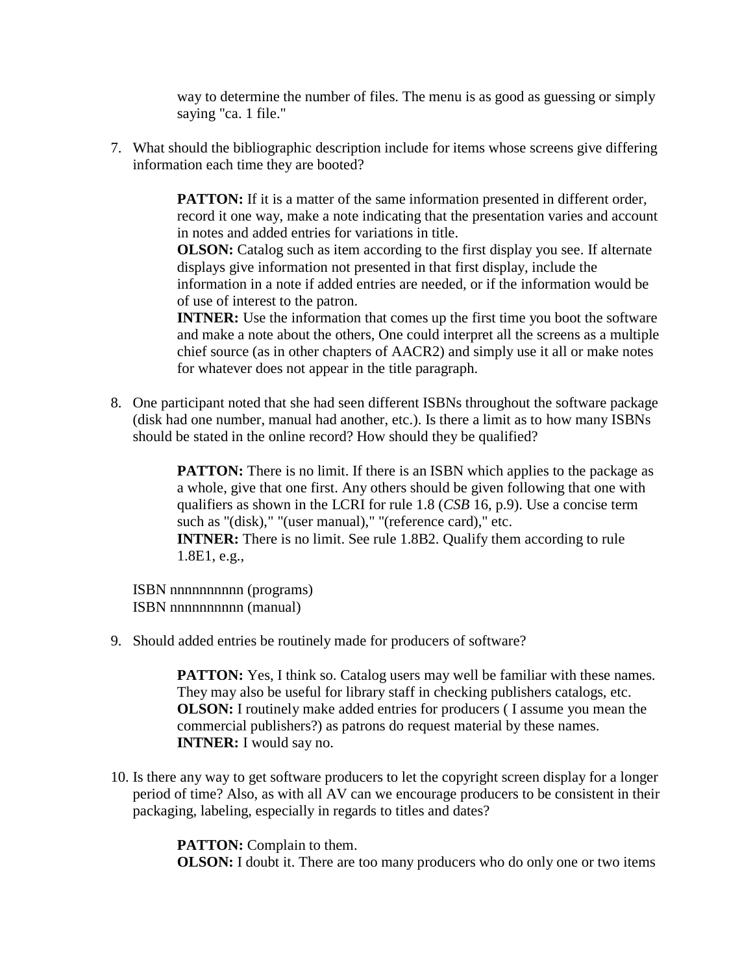way to determine the number of files. The menu is as good as guessing or simply saying "ca. 1 file."

7. What should the bibliographic description include for items whose screens give differing information each time they are booted?

> **PATTON:** If it is a matter of the same information presented in different order, record it one way, make a note indicating that the presentation varies and account in notes and added entries for variations in title.

**OLSON:** Catalog such as item according to the first display you see. If alternate displays give information not presented in that first display, include the information in a note if added entries are needed, or if the information would be of use of interest to the patron.

**INTNER:** Use the information that comes up the first time you boot the software and make a note about the others, One could interpret all the screens as a multiple chief source (as in other chapters of AACR2) and simply use it all or make notes for whatever does not appear in the title paragraph.

8. One participant noted that she had seen different ISBNs throughout the software package (disk had one number, manual had another, etc.). Is there a limit as to how many ISBNs should be stated in the online record? How should they be qualified?

> **PATTON:** There is no limit. If there is an ISBN which applies to the package as a whole, give that one first. Any others should be given following that one with qualifiers as shown in the LCRI for rule 1.8 (*CSB* 16, p.9). Use a concise term such as "(disk)," "(user manual)," "(reference card)," etc. **INTNER:** There is no limit. See rule 1.8B2. Qualify them according to rule 1.8E1, e.g.,

ISBN nnnnnnnnnn (programs) ISBN nnnnnnnnnn (manual)

9. Should added entries be routinely made for producers of software?

**PATTON:** Yes, I think so. Catalog users may well be familiar with these names. They may also be useful for library staff in checking publishers catalogs, etc. **OLSON:** I routinely make added entries for producers ( I assume you mean the commercial publishers?) as patrons do request material by these names. **INTNER:** I would say no.

10. Is there any way to get software producers to let the copyright screen display for a longer period of time? Also, as with all AV can we encourage producers to be consistent in their packaging, labeling, especially in regards to titles and dates?

> **PATTON:** Complain to them. **OLSON:** I doubt it. There are too many producers who do only one or two items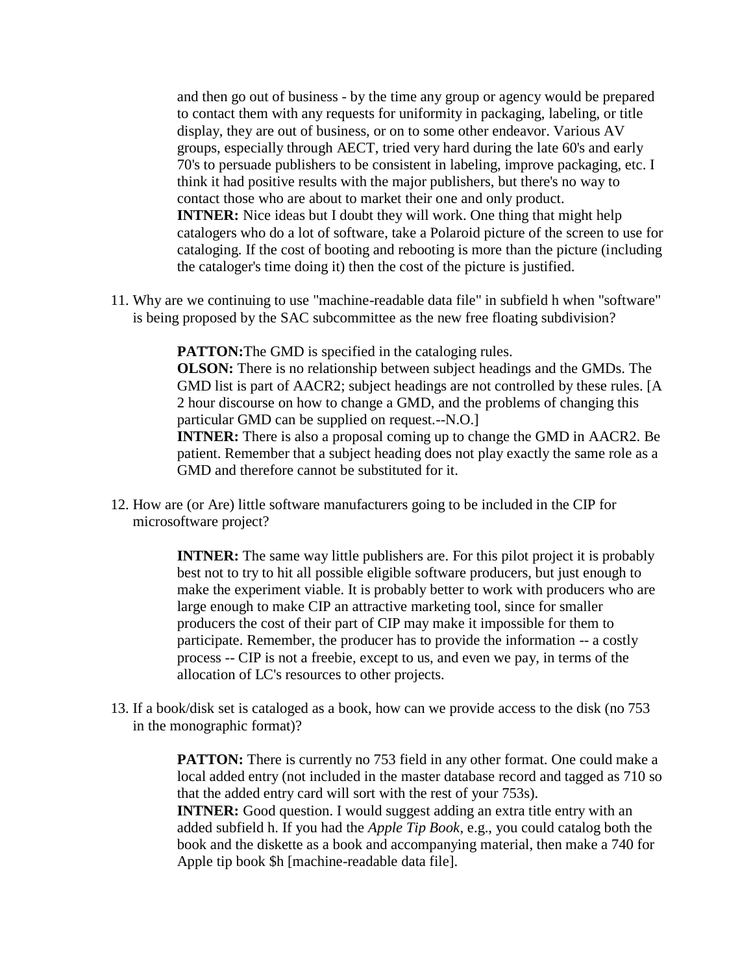and then go out of business - by the time any group or agency would be prepared to contact them with any requests for uniformity in packaging, labeling, or title display, they are out of business, or on to some other endeavor. Various AV groups, especially through AECT, tried very hard during the late 60's and early 70's to persuade publishers to be consistent in labeling, improve packaging, etc. I think it had positive results with the major publishers, but there's no way to contact those who are about to market their one and only product. **INTNER:** Nice ideas but I doubt they will work. One thing that might help catalogers who do a lot of software, take a Polaroid picture of the screen to use for cataloging. If the cost of booting and rebooting is more than the picture (including the cataloger's time doing it) then the cost of the picture is justified.

11. Why are we continuing to use "machine-readable data file" in subfield h when "software" is being proposed by the SAC subcommittee as the new free floating subdivision?

> **PATTON:** The GMD is specified in the cataloging rules. **OLSON:** There is no relationship between subject headings and the GMDs. The GMD list is part of AACR2; subject headings are not controlled by these rules. [A 2 hour discourse on how to change a GMD, and the problems of changing this particular GMD can be supplied on request.--N.O.] **INTNER:** There is also a proposal coming up to change the GMD in AACR2. Be patient. Remember that a subject heading does not play exactly the same role as a GMD and therefore cannot be substituted for it.

12. How are (or Are) little software manufacturers going to be included in the CIP for microsoftware project?

> **INTNER:** The same way little publishers are. For this pilot project it is probably best not to try to hit all possible eligible software producers, but just enough to make the experiment viable. It is probably better to work with producers who are large enough to make CIP an attractive marketing tool, since for smaller producers the cost of their part of CIP may make it impossible for them to participate. Remember, the producer has to provide the information -- a costly process -- CIP is not a freebie, except to us, and even we pay, in terms of the allocation of LC's resources to other projects.

13. If a book/disk set is cataloged as a book, how can we provide access to the disk (no 753 in the monographic format)?

> **PATTON:** There is currently no 753 field in any other format. One could make a local added entry (not included in the master database record and tagged as 710 so that the added entry card will sort with the rest of your 753s). **INTNER:** Good question. I would suggest adding an extra title entry with an added subfield h. If you had the *Apple Tip Book*, e.g., you could catalog both the book and the diskette as a book and accompanying material, then make a 740 for Apple tip book \$h [machine-readable data file].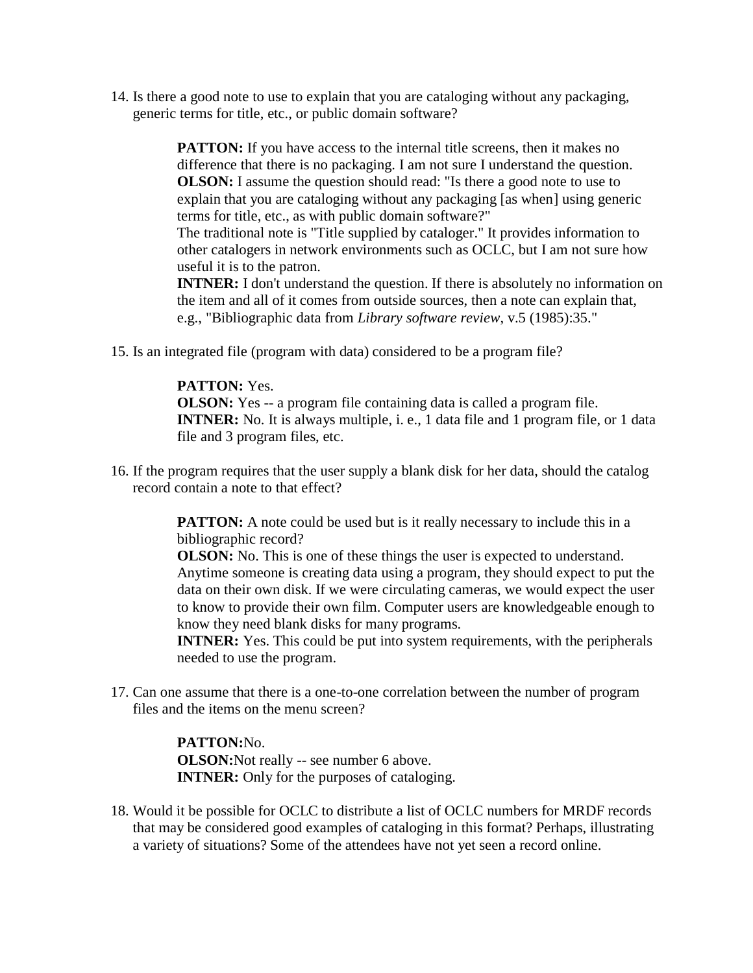14. Is there a good note to use to explain that you are cataloging without any packaging, generic terms for title, etc., or public domain software?

> **PATTON:** If you have access to the internal title screens, then it makes no difference that there is no packaging. I am not sure I understand the question. **OLSON:** I assume the question should read: "Is there a good note to use to explain that you are cataloging without any packaging [as when] using generic terms for title, etc., as with public domain software?"

The traditional note is "Title supplied by cataloger." It provides information to other catalogers in network environments such as OCLC, but I am not sure how useful it is to the patron.

**INTNER:** I don't understand the question. If there is absolutely no information on the item and all of it comes from outside sources, then a note can explain that, e.g., "Bibliographic data from *Library software review*, v.5 (1985):35."

15. Is an integrated file (program with data) considered to be a program file?

### **PATTON:** Yes.

**OLSON:** Yes -- a program file containing data is called a program file. **INTNER:** No. It is always multiple, i. e., 1 data file and 1 program file, or 1 data file and 3 program files, etc.

16. If the program requires that the user supply a blank disk for her data, should the catalog record contain a note to that effect?

> **PATTON:** A note could be used but is it really necessary to include this in a bibliographic record?

**OLSON:** No. This is one of these things the user is expected to understand. Anytime someone is creating data using a program, they should expect to put the data on their own disk. If we were circulating cameras, we would expect the user to know to provide their own film. Computer users are knowledgeable enough to know they need blank disks for many programs.

**INTNER:** Yes. This could be put into system requirements, with the peripherals needed to use the program.

17. Can one assume that there is a one-to-one correlation between the number of program files and the items on the menu screen?

> **PATTON:**No. **OLSON:**Not really -- see number 6 above. **INTNER:** Only for the purposes of cataloging.

18. Would it be possible for OCLC to distribute a list of OCLC numbers for MRDF records that may be considered good examples of cataloging in this format? Perhaps, illustrating a variety of situations? Some of the attendees have not yet seen a record online.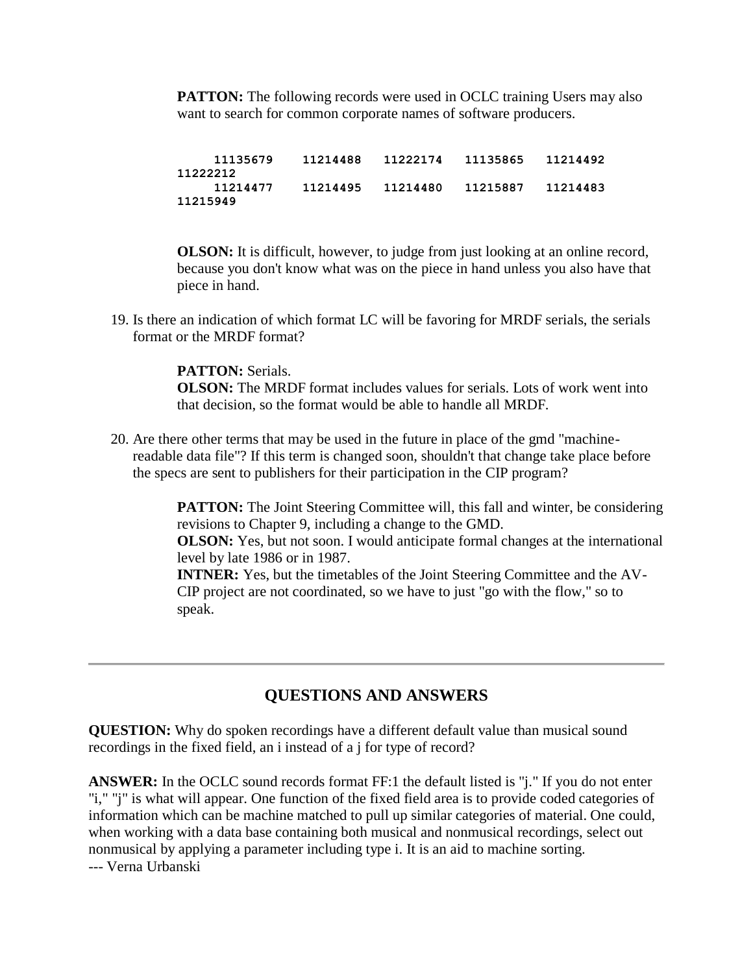**PATTON:** The following records were used in OCLC training Users may also want to search for common corporate names of software producers.

 **11135679 11214488 11222174 11135865 11214492 11222212 11214477 11214495 11214480 11215887 11214483 11215949**

**OLSON:** It is difficult, however, to judge from just looking at an online record, because you don't know what was on the piece in hand unless you also have that piece in hand.

19. Is there an indication of which format LC will be favoring for MRDF serials, the serials format or the MRDF format?

> **PATTON:** Serials. **OLSON:** The MRDF format includes values for serials. Lots of work went into that decision, so the format would be able to handle all MRDF.

20. Are there other terms that may be used in the future in place of the gmd "machinereadable data file"? If this term is changed soon, shouldn't that change take place before the specs are sent to publishers for their participation in the CIP program?

> **PATTON:** The Joint Steering Committee will, this fall and winter, be considering revisions to Chapter 9, including a change to the GMD. **OLSON:** Yes, but not soon. I would anticipate formal changes at the international

level by late 1986 or in 1987.

**INTNER:** Yes, but the timetables of the Joint Steering Committee and the AV-CIP project are not coordinated, so we have to just "go with the flow," so to speak.

# **QUESTIONS AND ANSWERS**

**QUESTION:** Why do spoken recordings have a different default value than musical sound recordings in the fixed field, an i instead of a j for type of record?

**ANSWER:** In the OCLC sound records format FF:1 the default listed is "j." If you do not enter "i," "j" is what will appear. One function of the fixed field area is to provide coded categories of information which can be machine matched to pull up similar categories of material. One could, when working with a data base containing both musical and nonmusical recordings, select out nonmusical by applying a parameter including type i. It is an aid to machine sorting. --- Verna Urbanski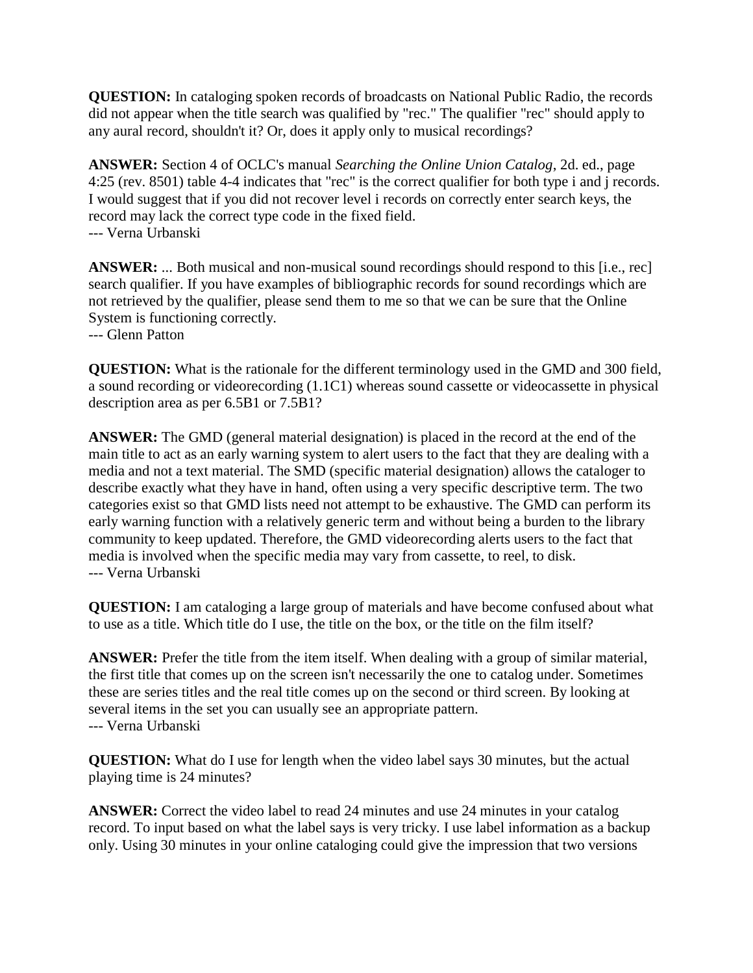**QUESTION:** In cataloging spoken records of broadcasts on National Public Radio, the records did not appear when the title search was qualified by "rec." The qualifier "rec" should apply to any aural record, shouldn't it? Or, does it apply only to musical recordings?

**ANSWER:** Section 4 of OCLC's manual *Searching the Online Union Catalog*, 2d. ed., page 4:25 (rev. 8501) table 4-4 indicates that "rec" is the correct qualifier for both type i and j records. I would suggest that if you did not recover level i records on correctly enter search keys, the record may lack the correct type code in the fixed field. --- Verna Urbanski

**ANSWER:** ... Both musical and non-musical sound recordings should respond to this [i.e., rec] search qualifier. If you have examples of bibliographic records for sound recordings which are not retrieved by the qualifier, please send them to me so that we can be sure that the Online System is functioning correctly.

--- Glenn Patton

**QUESTION:** What is the rationale for the different terminology used in the GMD and 300 field, a sound recording or videorecording (1.1C1) whereas sound cassette or videocassette in physical description area as per 6.5B1 or 7.5B1?

**ANSWER:** The GMD (general material designation) is placed in the record at the end of the main title to act as an early warning system to alert users to the fact that they are dealing with a media and not a text material. The SMD (specific material designation) allows the cataloger to describe exactly what they have in hand, often using a very specific descriptive term. The two categories exist so that GMD lists need not attempt to be exhaustive. The GMD can perform its early warning function with a relatively generic term and without being a burden to the library community to keep updated. Therefore, the GMD videorecording alerts users to the fact that media is involved when the specific media may vary from cassette, to reel, to disk. --- Verna Urbanski

**QUESTION:** I am cataloging a large group of materials and have become confused about what to use as a title. Which title do I use, the title on the box, or the title on the film itself?

**ANSWER:** Prefer the title from the item itself. When dealing with a group of similar material, the first title that comes up on the screen isn't necessarily the one to catalog under. Sometimes these are series titles and the real title comes up on the second or third screen. By looking at several items in the set you can usually see an appropriate pattern. --- Verna Urbanski

**QUESTION:** What do I use for length when the video label says 30 minutes, but the actual playing time is 24 minutes?

**ANSWER:** Correct the video label to read 24 minutes and use 24 minutes in your catalog record. To input based on what the label says is very tricky. I use label information as a backup only. Using 30 minutes in your online cataloging could give the impression that two versions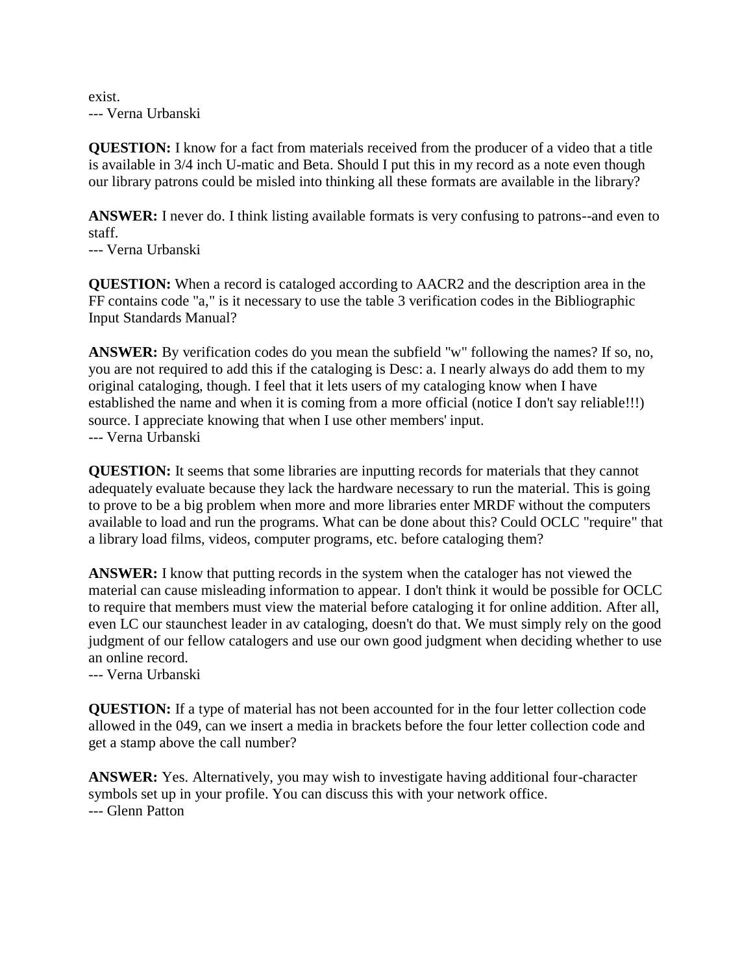### exist. --- Verna Urbanski

**QUESTION:** I know for a fact from materials received from the producer of a video that a title is available in 3/4 inch U-matic and Beta. Should I put this in my record as a note even though our library patrons could be misled into thinking all these formats are available in the library?

**ANSWER:** I never do. I think listing available formats is very confusing to patrons--and even to staff.

--- Verna Urbanski

**QUESTION:** When a record is cataloged according to AACR2 and the description area in the FF contains code "a," is it necessary to use the table 3 verification codes in the Bibliographic Input Standards Manual?

**ANSWER:** By verification codes do you mean the subfield "w" following the names? If so, no, you are not required to add this if the cataloging is Desc: a. I nearly always do add them to my original cataloging, though. I feel that it lets users of my cataloging know when I have established the name and when it is coming from a more official (notice I don't say reliable!!!) source. I appreciate knowing that when I use other members' input. --- Verna Urbanski

**QUESTION:** It seems that some libraries are inputting records for materials that they cannot adequately evaluate because they lack the hardware necessary to run the material. This is going to prove to be a big problem when more and more libraries enter MRDF without the computers available to load and run the programs. What can be done about this? Could OCLC "require" that a library load films, videos, computer programs, etc. before cataloging them?

**ANSWER:** I know that putting records in the system when the cataloger has not viewed the material can cause misleading information to appear. I don't think it would be possible for OCLC to require that members must view the material before cataloging it for online addition. After all, even LC our staunchest leader in av cataloging, doesn't do that. We must simply rely on the good judgment of our fellow catalogers and use our own good judgment when deciding whether to use an online record.

--- Verna Urbanski

**QUESTION:** If a type of material has not been accounted for in the four letter collection code allowed in the 049, can we insert a media in brackets before the four letter collection code and get a stamp above the call number?

**ANSWER:** Yes. Alternatively, you may wish to investigate having additional four-character symbols set up in your profile. You can discuss this with your network office. --- Glenn Patton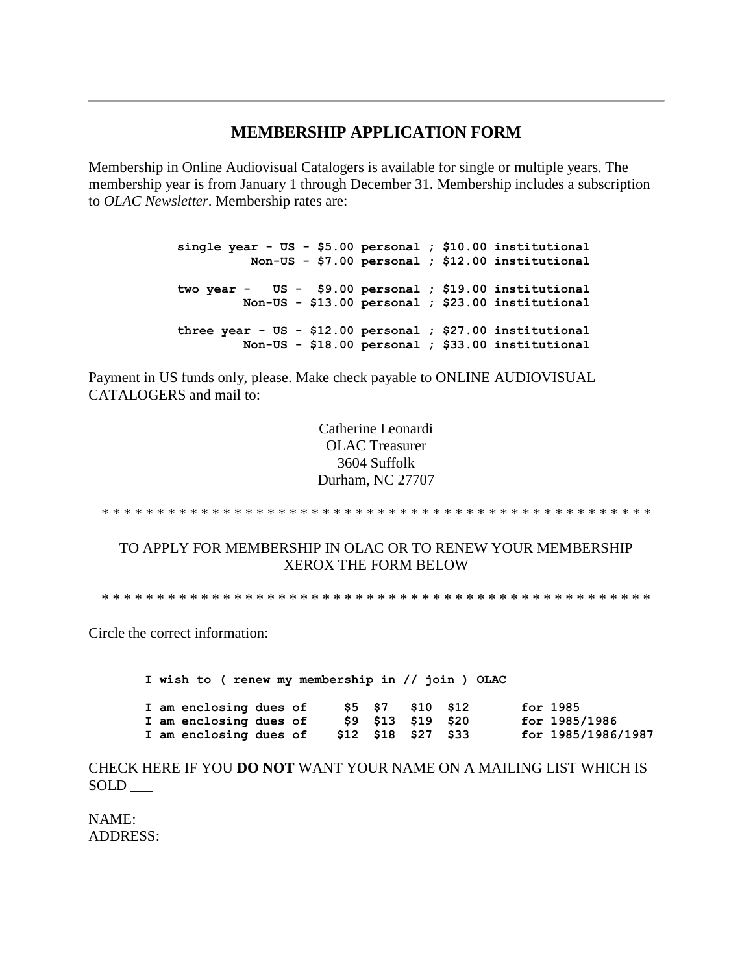### **MEMBERSHIP APPLICATION FORM**

Membership in Online Audiovisual Catalogers is available for single or multiple years. The membership year is from January 1 through December 31. Membership includes a subscription to *OLAC Newsletter*. Membership rates are:

> **single year - US - \$5.00 personal ; \$10.00 institutional Non-US - \$7.00 personal ; \$12.00 institutional two year - US - \$9.00 personal ; \$19.00 institutional Non-US - \$13.00 personal ; \$23.00 institutional three year - US - \$12.00 personal ; \$27.00 institutional Non-US - \$18.00 personal ; \$33.00 institutional**

Payment in US funds only, please. Make check payable to ONLINE AUDIOVISUAL CATALOGERS and mail to:

> Catherine Leonardi OLAC Treasurer 3604 Suffolk Durham, NC 27707

\* \* \* \* \* \* \* \* \* \* \* \* \* \* \* \* \* \* \* \* \* \* \* \* \* \* \* \* \* \* \* \* \* \* \* \* \* \* \* \* \* \* \* \* \* \* \* \* \* \*

TO APPLY FOR MEMBERSHIP IN OLAC OR TO RENEW YOUR MEMBERSHIP XEROX THE FORM BELOW

\* \* \* \* \* \* \* \* \* \* \* \* \* \* \* \* \* \* \* \* \* \* \* \* \* \* \* \* \* \* \* \* \* \* \* \* \* \* \* \* \* \* \* \* \* \* \* \* \* \*

Circle the correct information:

**I wish to ( renew my membership in // join ) OLAC I am enclosing dues of \$5 \$7 \$10 \$12 for 1985 I am enclosing dues of \$9 \$13 \$19 \$20 for 1985/1986 I am enclosing dues of \$12 \$18 \$27 \$33 for 1985/1986/1987**

CHECK HERE IF YOU **DO NOT** WANT YOUR NAME ON A MAILING LIST WHICH IS SOLD \_\_\_

NAME: ADDRESS: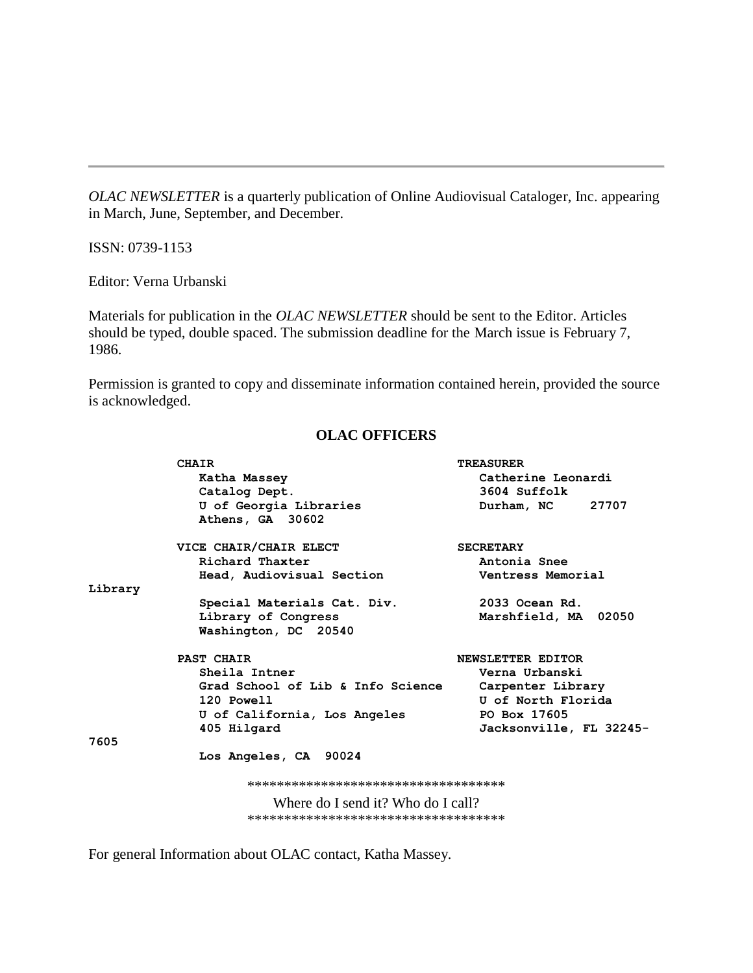*OLAC NEWSLETTER* is a quarterly publication of Online Audiovisual Cataloger, Inc. appearing in March, June, September, and December.

ISSN: 0739-1153

Editor: Verna Urbanski

Materials for publication in the *OLAC NEWSLETTER* should be sent to the Editor. Articles should be typed, double spaced. The submission deadline for the [March issue](http://ublib.buffalo.edu/libraries/units/cts/olac/newsletters/mar86.html) is February 7, 1986.

Permission is granted to copy and disseminate information contained herein, provided the source is acknowledged.

### **OLAC OFFICERS**

|         | <b>CHAIR</b>                                                                                                                                                                                                                                                                                                                                                                                                         | <b>TREASURER</b>        |
|---------|----------------------------------------------------------------------------------------------------------------------------------------------------------------------------------------------------------------------------------------------------------------------------------------------------------------------------------------------------------------------------------------------------------------------|-------------------------|
|         | Katha Massey                                                                                                                                                                                                                                                                                                                                                                                                         | Catherine Leonardi      |
|         | Catalog Dept.                                                                                                                                                                                                                                                                                                                                                                                                        | 3604 Suffolk            |
|         | U of Georgia Libraries                                                                                                                                                                                                                                                                                                                                                                                               | Durham, NC 27707        |
|         | Athens, GA 30602                                                                                                                                                                                                                                                                                                                                                                                                     |                         |
|         | VICE CHAIR/CHAIR ELECT                                                                                                                                                                                                                                                                                                                                                                                               | <b>SECRETARY</b>        |
|         | Richard Thaxter                                                                                                                                                                                                                                                                                                                                                                                                      | Antonia Snee            |
|         | Head, Audiovisual Section                                                                                                                                                                                                                                                                                                                                                                                            | Ventress Memorial       |
| Library |                                                                                                                                                                                                                                                                                                                                                                                                                      |                         |
|         | Special Materials Cat. Div.                                                                                                                                                                                                                                                                                                                                                                                          | 2033 Ocean Rd.          |
|         | Library of Congress                                                                                                                                                                                                                                                                                                                                                                                                  | Marshfield, MA 02050    |
|         | Washington, DC 20540                                                                                                                                                                                                                                                                                                                                                                                                 |                         |
|         | <b>PAST CHAIR</b>                                                                                                                                                                                                                                                                                                                                                                                                    | NEWSLETTER EDITOR       |
|         | Sheila Intner                                                                                                                                                                                                                                                                                                                                                                                                        | Verna Urbanski          |
|         | Grad School of Lib & Info Science                                                                                                                                                                                                                                                                                                                                                                                    | Carpenter Library       |
|         | 120 Powell                                                                                                                                                                                                                                                                                                                                                                                                           | U of North Florida      |
|         | U of California, Los Angeles                                                                                                                                                                                                                                                                                                                                                                                         | PO Box 17605            |
|         | 405 Hilgard                                                                                                                                                                                                                                                                                                                                                                                                          | Jacksonville, FL 32245- |
| 7605    |                                                                                                                                                                                                                                                                                                                                                                                                                      |                         |
|         | Los Angeles, CA 90024                                                                                                                                                                                                                                                                                                                                                                                                |                         |
|         | ************************************                                                                                                                                                                                                                                                                                                                                                                                 |                         |
|         | $\mathbf{W}^{H} = \mathbf{1} \mathbf{I} + \mathbf{1} \mathbf{1} \mathbf{1} \mathbf{1} \mathbf{1} \mathbf{1} \mathbf{1} \mathbf{1} \mathbf{1} \mathbf{1} \mathbf{1} \mathbf{1} \mathbf{1} \mathbf{1} \mathbf{1} \mathbf{1} \mathbf{1} \mathbf{1} \mathbf{1} \mathbf{1} \mathbf{1} \mathbf{1} \mathbf{1} \mathbf{1} \mathbf{1} \mathbf{1} \mathbf{1} \mathbf{1} \mathbf{1} \mathbf{1} \mathbf{1} \mathbf{1} \mathbf{1$ |                         |

Where do I send it? Who do I call? \*\*\*\*\*\*\*\*\*\*\*\*\*\*\*\*\*\*\*\*\*\*\*\*\*\*\*\*\*\*\*\*\*\*\*

For general Information about OLAC contact, Katha Massey.